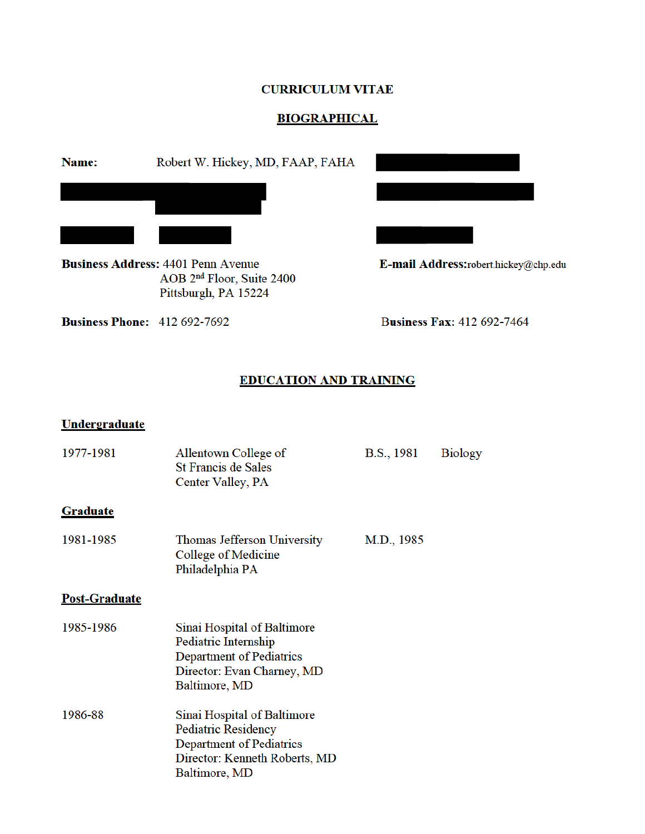### **CURRICULUM VITAE**

# **BIOGRAPHICAL**

Robert W. Hickey, MD, FAAP, FAHA Name:

**Business Address: 4401 Penn Avenue** AOB 2<sup>nd</sup> Floor, Suite 2400 Pittsburgh, PA 15224

E-mail Address:robert.hickey@chp.edu

**Business Phone:** 412 692-7692

**Business Fax: 412 692-7464** 

# **EDUCATION AND TRAINING**

#### **Undergraduate**

| 1977-1981            | Allentown College of<br><b>St Francis de Sales</b><br>Center Valley, PA                                                          | B.S., 1981 | <b>Biology</b> |
|----------------------|----------------------------------------------------------------------------------------------------------------------------------|------------|----------------|
| <b>Graduate</b>      |                                                                                                                                  |            |                |
| 1981-1985            | Thomas Jefferson University<br>College of Medicine<br>Philadelphia PA                                                            | M.D., 1985 |                |
| <b>Post-Graduate</b> |                                                                                                                                  |            |                |
| 1985-1986            | Sinai Hospital of Baltimore<br>Pediatric Internship<br>Department of Pediatrics<br>Director: Evan Charney, MD<br>Baltimore, MD   |            |                |
| 1986-88              | Sinai Hospital of Baltimore<br>Pediatric Residency<br>Department of Pediatrics<br>Director: Kenneth Roberts, MD<br>Baltimore, MD |            |                |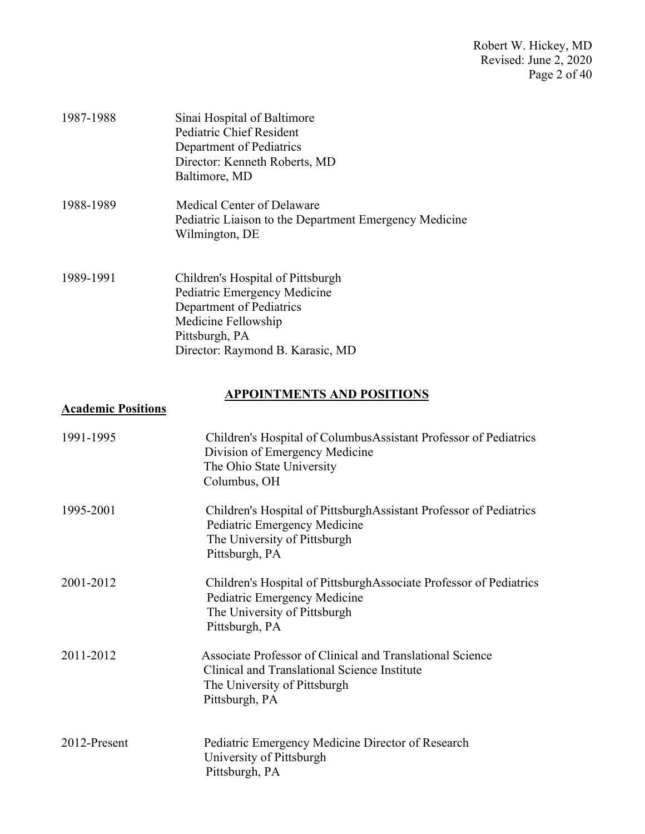Robert W. Hickey, MD Revised: June 2, 2020 Page 2 of 40

| 1987-1988 | Sinai Hospital of Baltimore<br>Pediatric Chief Resident<br>Department of Pediatrics<br>Director: Kenneth Roberts, MD<br>Baltimore, MD                                      |
|-----------|----------------------------------------------------------------------------------------------------------------------------------------------------------------------------|
| 1988-1989 | Medical Center of Delaware<br>Pediatric Liaison to the Department Emergency Medicine<br>Wilmington, DE                                                                     |
| 1989-1991 | Children's Hospital of Pittsburgh<br>Pediatric Emergency Medicine<br>Department of Pediatrics<br>Medicine Fellowship<br>Pittsburgh, PA<br>Director: Raymond B. Karasic, MD |

# **APPOINTMENTS AND POSITIONS**

# **Academic Positions**

| 1991-1995    | Children's Hospital of Columbus Assistant Professor of Pediatrics<br>Division of Emergency Medicine<br>The Ohio State University<br>Columbus, OH            |
|--------------|-------------------------------------------------------------------------------------------------------------------------------------------------------------|
| 1995-2001    | Children's Hospital of PittsburghAssistant Professor of Pediatrics<br>Pediatric Emergency Medicine<br>The University of Pittsburgh<br>Pittsburgh, PA        |
| 2001-2012    | Children's Hospital of PittsburghAssociate Professor of Pediatrics<br>Pediatric Emergency Medicine<br>The University of Pittsburgh<br>Pittsburgh, PA        |
| 2011-2012    | Associate Professor of Clinical and Translational Science<br>Clinical and Translational Science Institute<br>The University of Pittsburgh<br>Pittsburgh, PA |
| 2012-Present | Pediatric Emergency Medicine Director of Research<br>University of Pittsburgh<br>Pittsburgh, PA                                                             |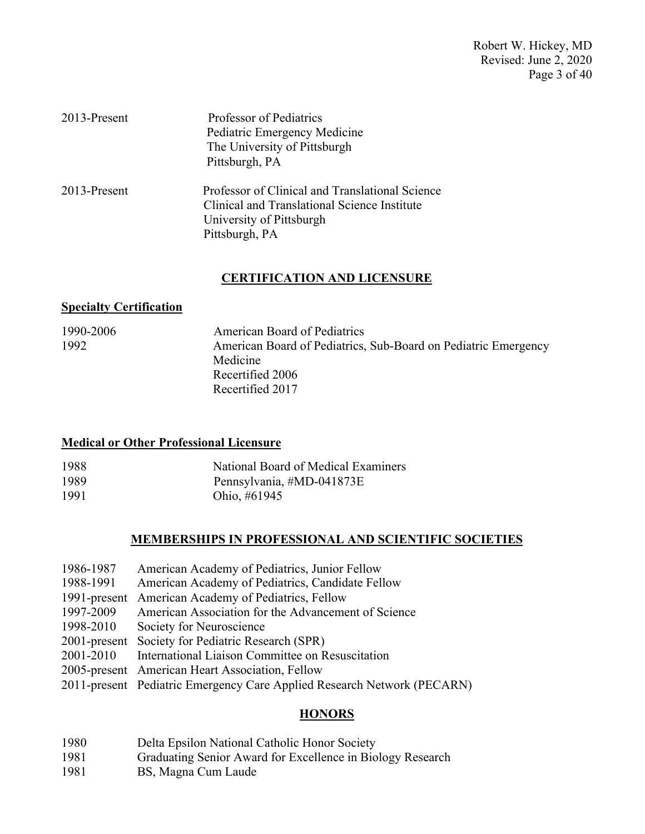Robert W. Hickey, MD Revised: June 2, 2020 Page 3 of 40

| 2013-Present | Professor of Pediatrics<br>Pediatric Emergency Medicine<br>The University of Pittsburgh<br>Pittsburgh, PA                                     |
|--------------|-----------------------------------------------------------------------------------------------------------------------------------------------|
| 2013-Present | Professor of Clinical and Translational Science<br>Clinical and Translational Science Institute<br>University of Pittsburgh<br>Pittsburgh, PA |

#### **CERTIFICATION AND LICENSURE**

#### **Specialty Certification**

| 1990-2006 | <b>American Board of Pediatrics</b>                            |
|-----------|----------------------------------------------------------------|
| 1992      | American Board of Pediatrics, Sub-Board on Pediatric Emergency |
|           | Medicine                                                       |
|           | Recertified 2006                                               |
|           | Recertified 2017                                               |

#### **Medical or Other Professional Licensure**

| 1988 | National Board of Medical Examiners |
|------|-------------------------------------|
| 1989 | Pennsylvania, #MD-041873E           |
| 1991 | Ohio, #61945                        |

# **MEMBERSHIPS IN PROFESSIONAL AND SCIENTIFIC SOCIETIES**

| 1986-1987 | American Academy of Pediatrics, Junior Fellow              |
|-----------|------------------------------------------------------------|
| 1988-1991 | American Academy of Pediatrics, Candidate Fellow           |
|           | 1991-present American Academy of Pediatrics, Fellow        |
| 1997-2009 | American Association for the Advancement of Science        |
| 1998-2010 | Society for Neuroscience                                   |
|           | 2001-present Society for Pediatric Research (SPR)          |
|           | 2001-2010 International Liaison Committee on Resuscitation |
|           | 2005-present American Heart Association, Fellow            |
|           | $1.37.1$ $(DHQ)$<br>$\mathcal{L}$                          |

#### 2011-present Pediatric Emergency Care Applied Research Network (PECARN)

# **HONORS**

| 1980 |  |    |  |  | Delta Epsilon National Catholic Honor Society |  |  |
|------|--|----|--|--|-----------------------------------------------|--|--|
| .    |  | -- |  |  |                                               |  |  |

- 1981 Graduating Senior Award for Excellence in Biology Research
- 1981 BS, Magna Cum Laude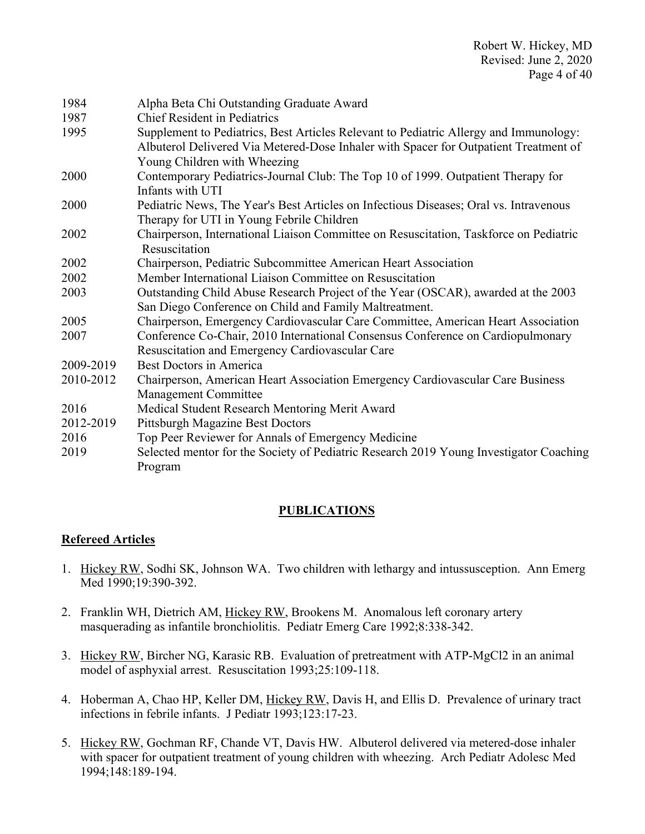| 1984      | Alpha Beta Chi Outstanding Graduate Award                                              |
|-----------|----------------------------------------------------------------------------------------|
| 1987      | <b>Chief Resident in Pediatrics</b>                                                    |
| 1995      | Supplement to Pediatrics, Best Articles Relevant to Pediatric Allergy and Immunology:  |
|           | Albuterol Delivered Via Metered-Dose Inhaler with Spacer for Outpatient Treatment of   |
|           | Young Children with Wheezing                                                           |
| 2000      | Contemporary Pediatrics-Journal Club: The Top 10 of 1999. Outpatient Therapy for       |
|           | Infants with UTI                                                                       |
| 2000      | Pediatric News, The Year's Best Articles on Infectious Diseases; Oral vs. Intravenous  |
|           | Therapy for UTI in Young Febrile Children                                              |
| 2002      | Chairperson, International Liaison Committee on Resuscitation, Taskforce on Pediatric  |
|           | Resuscitation                                                                          |
| 2002      | Chairperson, Pediatric Subcommittee American Heart Association                         |
| 2002      | Member International Liaison Committee on Resuscitation                                |
| 2003      | Outstanding Child Abuse Research Project of the Year (OSCAR), awarded at the 2003      |
|           | San Diego Conference on Child and Family Maltreatment.                                 |
| 2005      | Chairperson, Emergency Cardiovascular Care Committee, American Heart Association       |
| 2007      | Conference Co-Chair, 2010 International Consensus Conference on Cardiopulmonary        |
|           | Resuscitation and Emergency Cardiovascular Care                                        |
| 2009-2019 | Best Doctors in America                                                                |
| 2010-2012 | Chairperson, American Heart Association Emergency Cardiovascular Care Business         |
|           | Management Committee                                                                   |
| 2016      | Medical Student Research Mentoring Merit Award                                         |
| 2012-2019 | <b>Pittsburgh Magazine Best Doctors</b>                                                |
| 2016      | Top Peer Reviewer for Annals of Emergency Medicine                                     |
| 2019      | Selected mentor for the Society of Pediatric Research 2019 Young Investigator Coaching |
|           | Program                                                                                |

# **PUBLICATIONS**

# **Refereed Articles**

- 1. Hickey RW, Sodhi SK, Johnson WA. Two children with lethargy and intussusception. Ann Emerg Med 1990;19:390-392.
- 2. Franklin WH, Dietrich AM, Hickey RW, Brookens M. Anomalous left coronary artery masquerading as infantile bronchiolitis. Pediatr Emerg Care 1992;8:338-342.
- 3. Hickey RW, Bircher NG, Karasic RB. Evaluation of pretreatment with ATP-MgCl2 in an animal model of asphyxial arrest. Resuscitation 1993;25:109-118.
- 4. Hoberman A, Chao HP, Keller DM, Hickey RW, Davis H, and Ellis D. Prevalence of urinary tract infections in febrile infants. J Pediatr 1993;123:17-23.
- 5. Hickey RW, Gochman RF, Chande VT, Davis HW. Albuterol delivered via metered-dose inhaler with spacer for outpatient treatment of young children with wheezing. Arch Pediatr Adolesc Med 1994;148:189-194.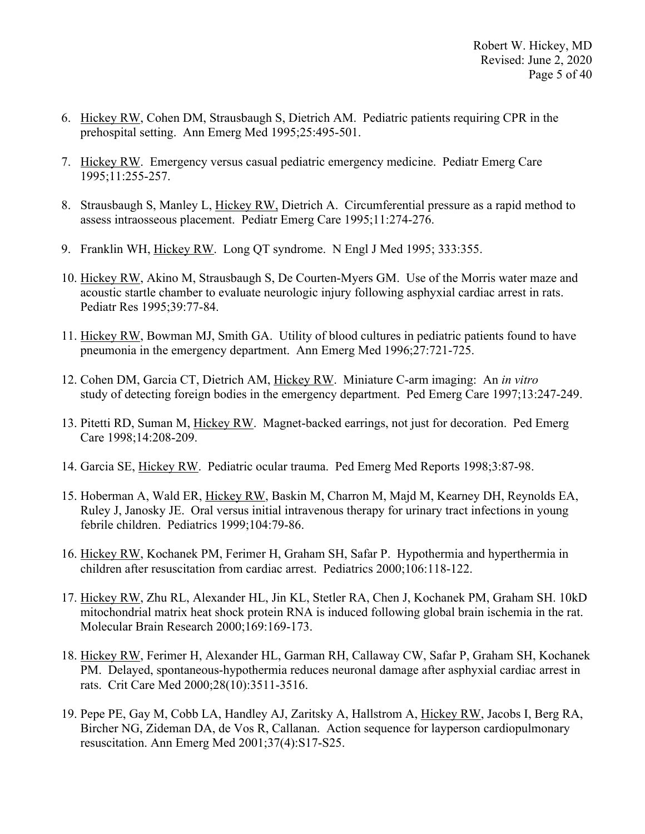- 6. Hickey RW, Cohen DM, Strausbaugh S, Dietrich AM. Pediatric patients requiring CPR in the prehospital setting. Ann Emerg Med 1995;25:495-501.
- 7. Hickey RW. Emergency versus casual pediatric emergency medicine. Pediatr Emerg Care 1995;11:255-257.
- 8. Strausbaugh S, Manley L, Hickey RW, Dietrich A. Circumferential pressure as a rapid method to assess intraosseous placement. Pediatr Emerg Care 1995;11:274-276.
- 9. Franklin WH, Hickey RW. Long QT syndrome. N Engl J Med 1995; 333:355.
- 10. Hickey RW, Akino M, Strausbaugh S, De Courten-Myers GM. Use of the Morris water maze and acoustic startle chamber to evaluate neurologic injury following asphyxial cardiac arrest in rats. Pediatr Res 1995;39:77-84.
- 11. Hickey RW, Bowman MJ, Smith GA. Utility of blood cultures in pediatric patients found to have pneumonia in the emergency department. Ann Emerg Med 1996;27:721-725.
- 12. Cohen DM, Garcia CT, Dietrich AM, Hickey RW. Miniature C-arm imaging: An *in vitro* study of detecting foreign bodies in the emergency department. Ped Emerg Care 1997;13:247-249.
- 13. Pitetti RD, Suman M, Hickey RW. Magnet-backed earrings, not just for decoration. Ped Emerg Care 1998;14:208-209.
- 14. Garcia SE, Hickey RW. Pediatric ocular trauma. Ped Emerg Med Reports 1998;3:87-98.
- 15. Hoberman A, Wald ER, Hickey RW, Baskin M, Charron M, Majd M, Kearney DH, Reynolds EA, Ruley J, Janosky JE. Oral versus initial intravenous therapy for urinary tract infections in young febrile children. Pediatrics 1999;104:79-86.
- 16. Hickey RW, Kochanek PM, Ferimer H, Graham SH, Safar P. Hypothermia and hyperthermia in children after resuscitation from cardiac arrest. Pediatrics 2000;106:118-122.
- 17. Hickey RW, Zhu RL, Alexander HL, Jin KL, Stetler RA, Chen J, Kochanek PM, Graham SH. 10kD mitochondrial matrix heat shock protein RNA is induced following global brain ischemia in the rat. Molecular Brain Research 2000;169:169-173.
- 18. Hickey RW, Ferimer H, Alexander HL, Garman RH, Callaway CW, Safar P, Graham SH, Kochanek PM. Delayed, spontaneous-hypothermia reduces neuronal damage after asphyxial cardiac arrest in rats. Crit Care Med 2000;28(10):3511-3516.
- 19. Pepe PE, Gay M, Cobb LA, Handley AJ, Zaritsky A, Hallstrom A, Hickey RW, Jacobs I, Berg RA, Bircher NG, Zideman DA, de Vos R, Callanan. Action sequence for layperson cardiopulmonary resuscitation. Ann Emerg Med 2001;37(4):S17-S25.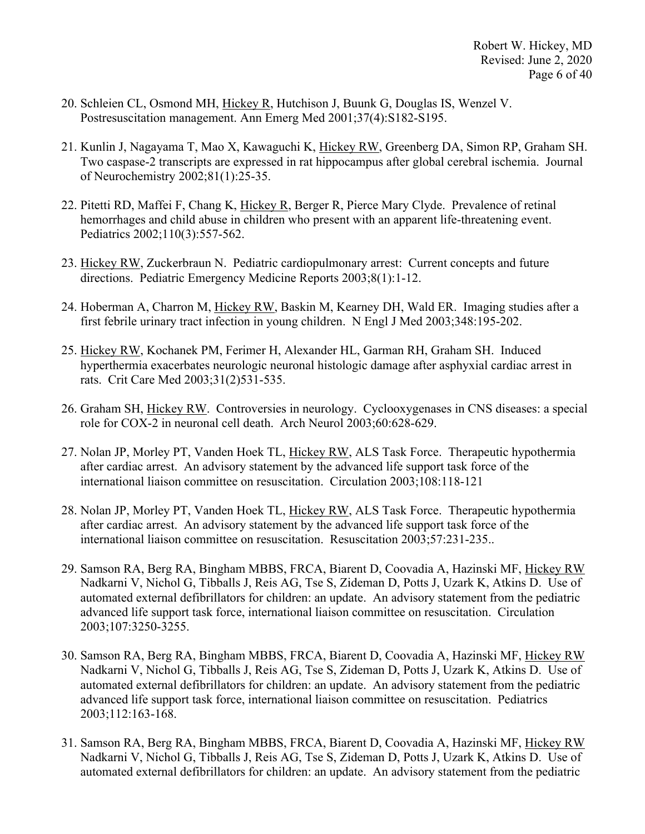- 20. Schleien CL, Osmond MH, Hickey R, Hutchison J, Buunk G, Douglas IS, Wenzel V. Postresuscitation management. Ann Emerg Med 2001;37(4):S182-S195.
- 21. Kunlin J, Nagayama T, Mao X, Kawaguchi K, Hickey RW, Greenberg DA, Simon RP, Graham SH. Two caspase-2 transcripts are expressed in rat hippocampus after global cerebral ischemia. Journal of Neurochemistry 2002;81(1):25-35.
- 22. Pitetti RD, Maffei F, Chang K, Hickey R, Berger R, Pierce Mary Clyde. Prevalence of retinal hemorrhages and child abuse in children who present with an apparent life-threatening event. Pediatrics 2002;110(3):557-562.
- 23. Hickey RW, Zuckerbraun N. Pediatric cardiopulmonary arrest: Current concepts and future directions. Pediatric Emergency Medicine Reports 2003;8(1):1-12.
- 24. Hoberman A, Charron M, Hickey RW, Baskin M, Kearney DH, Wald ER. Imaging studies after a first febrile urinary tract infection in young children. N Engl J Med 2003;348:195-202.
- 25. Hickey RW, Kochanek PM, Ferimer H, Alexander HL, Garman RH, Graham SH. Induced hyperthermia exacerbates neurologic neuronal histologic damage after asphyxial cardiac arrest in rats. Crit Care Med 2003;31(2)531-535.
- 26. Graham SH, Hickey RW. Controversies in neurology. Cyclooxygenases in CNS diseases: a special role for COX-2 in neuronal cell death. Arch Neurol 2003;60:628-629.
- 27. Nolan JP, Morley PT, Vanden Hoek TL, Hickey RW, ALS Task Force. Therapeutic hypothermia after cardiac arrest. An advisory statement by the advanced life support task force of the international liaison committee on resuscitation. Circulation 2003;108:118-121
- 28. Nolan JP, Morley PT, Vanden Hoek TL, Hickey RW, ALS Task Force. Therapeutic hypothermia after cardiac arrest. An advisory statement by the advanced life support task force of the international liaison committee on resuscitation. Resuscitation 2003;57:231-235..
- 29. Samson RA, Berg RA, Bingham MBBS, FRCA, Biarent D, Coovadia A, Hazinski MF, Hickey RW Nadkarni V, Nichol G, Tibballs J, Reis AG, Tse S, Zideman D, Potts J, Uzark K, Atkins D. Use of automated external defibrillators for children: an update. An advisory statement from the pediatric advanced life support task force, international liaison committee on resuscitation. Circulation 2003;107:3250-3255.
- 30. Samson RA, Berg RA, Bingham MBBS, FRCA, Biarent D, Coovadia A, Hazinski MF, Hickey RW Nadkarni V, Nichol G, Tibballs J, Reis AG, Tse S, Zideman D, Potts J, Uzark K, Atkins D. Use of automated external defibrillators for children: an update. An advisory statement from the pediatric advanced life support task force, international liaison committee on resuscitation. Pediatrics 2003;112:163-168.
- 31. Samson RA, Berg RA, Bingham MBBS, FRCA, Biarent D, Coovadia A, Hazinski MF, Hickey RW Nadkarni V, Nichol G, Tibballs J, Reis AG, Tse S, Zideman D, Potts J, Uzark K, Atkins D. Use of automated external defibrillators for children: an update. An advisory statement from the pediatric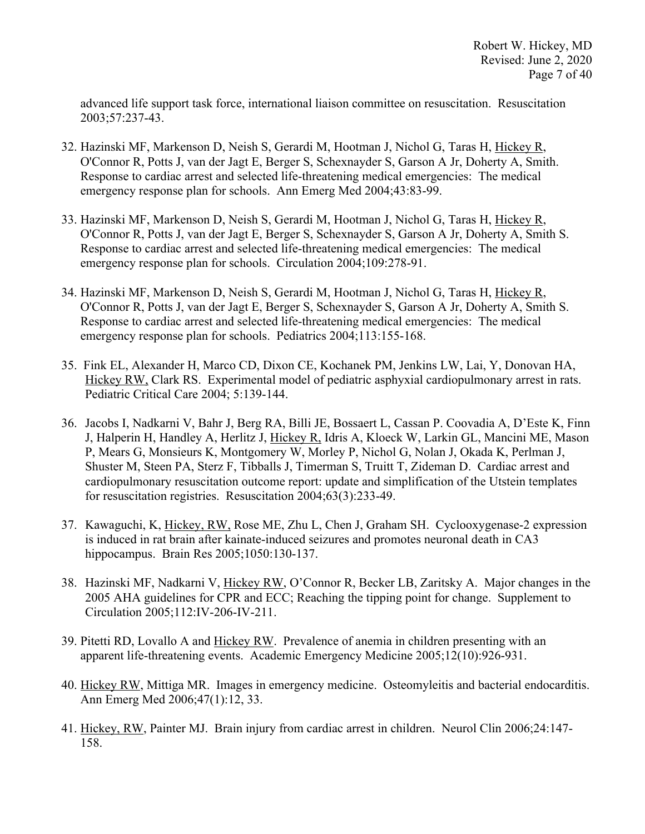advanced life support task force, international liaison committee on resuscitation. Resuscitation 2003;57:237-43.

- 32. Hazinski MF, Markenson D, Neish S, Gerardi M, Hootman J, Nichol G, Taras H, Hickey R, O'Connor R, Potts J, van der Jagt E, Berger S, Schexnayder S, Garson A Jr, Doherty A, Smith. Response to cardiac arrest and selected life-threatening medical emergencies: The medical emergency response plan for schools. Ann Emerg Med 2004;43:83-99.
- 33. Hazinski MF, Markenson D, Neish S, Gerardi M, Hootman J, Nichol G, Taras H, Hickey R, O'Connor R, Potts J, van der Jagt E, Berger S, Schexnayder S, Garson A Jr, Doherty A, Smith S. Response to cardiac arrest and selected life-threatening medical emergencies: The medical emergency response plan for schools. Circulation 2004;109:278-91.
- 34. Hazinski MF, Markenson D, Neish S, Gerardi M, Hootman J, Nichol G, Taras H, Hickey R, O'Connor R, Potts J, van der Jagt E, Berger S, Schexnayder S, Garson A Jr, Doherty A, Smith S. Response to cardiac arrest and selected life-threatening medical emergencies: The medical emergency response plan for schools. Pediatrics 2004;113:155-168.
- 35. Fink EL, Alexander H, Marco CD, Dixon CE, Kochanek PM, Jenkins LW, Lai, Y, Donovan HA, Hickey RW, Clark RS. Experimental model of pediatric asphyxial cardiopulmonary arrest in rats. Pediatric Critical Care 2004; 5:139-144.
- 36. Jacobs I, Nadkarni V, Bahr J, Berg RA, Billi JE, Bossaert L, Cassan P. Coovadia A, D'Este K, Finn J, Halperin H, Handley A, Herlitz J, Hickey R, Idris A, Kloeck W, Larkin GL, Mancini ME, Mason P, Mears G, Monsieurs K, Montgomery W, Morley P, Nichol G, Nolan J, Okada K, Perlman J, Shuster M, Steen PA, Sterz F, Tibballs J, Timerman S, Truitt T, Zideman D. Cardiac arrest and cardiopulmonary resuscitation outcome report: update and simplification of the Utstein templates for resuscitation registries. Resuscitation 2004;63(3):233-49.
- 37. Kawaguchi, K, Hickey, RW, Rose ME, Zhu L, Chen J, Graham SH. Cyclooxygenase-2 expression is induced in rat brain after kainate-induced seizures and promotes neuronal death in CA3 hippocampus. Brain Res 2005;1050:130-137.
- 38. Hazinski MF, Nadkarni V, Hickey RW, O'Connor R, Becker LB, Zaritsky A. Major changes in the 2005 AHA guidelines for CPR and ECC; Reaching the tipping point for change. Supplement to Circulation 2005;112:IV-206-IV-211.
- 39. Pitetti RD, Lovallo A and Hickey RW. Prevalence of anemia in children presenting with an apparent life-threatening events. Academic Emergency Medicine 2005;12(10):926-931.
- 40. Hickey RW, Mittiga MR. Images in emergency medicine. Osteomyleitis and bacterial endocarditis. Ann Emerg Med 2006;47(1):12, 33.
- 41. Hickey, RW, Painter MJ. Brain injury from cardiac arrest in children. Neurol Clin 2006;24:147- 158.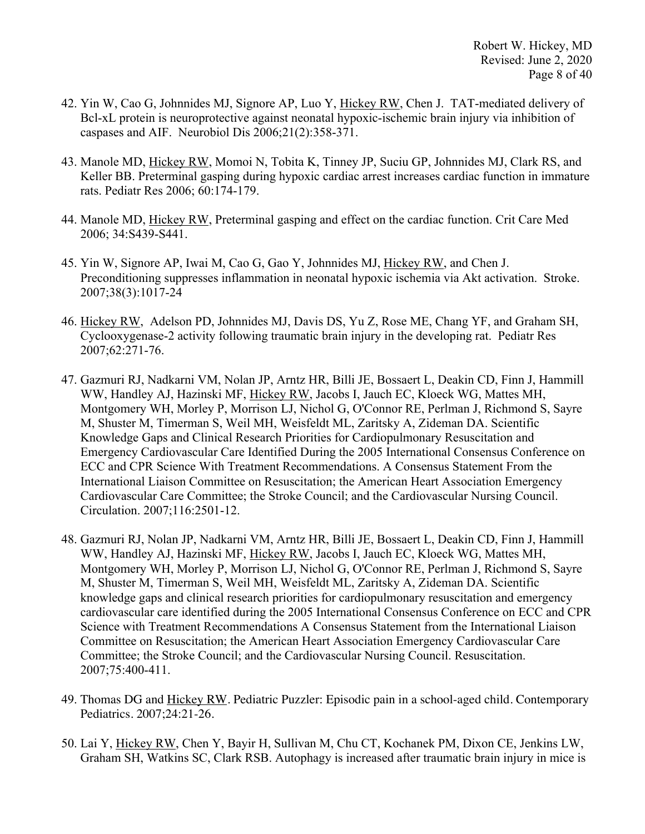- 42. Yin W, Cao G, Johnnides MJ, Signore AP, Luo Y, Hickey RW, Chen J. TAT-mediated delivery of Bcl-xL protein is neuroprotective against neonatal hypoxic-ischemic brain injury via inhibition of caspases and AIF. Neurobiol Dis 2006;21(2):358-371.
- 43. Manole MD, Hickey RW, Momoi N, Tobita K, Tinney JP, Suciu GP, Johnnides MJ, Clark RS, and Keller BB. Preterminal gasping during hypoxic cardiac arrest increases cardiac function in immature rats. Pediatr Res 2006; 60:174-179.
- 44. Manole MD, Hickey RW, Preterminal gasping and effect on the cardiac function. Crit Care Med 2006; 34:S439-S441.
- 45. Yin W, Signore AP, Iwai M, Cao G, Gao Y, Johnnides MJ, Hickey RW, and Chen J. Preconditioning suppresses inflammation in neonatal hypoxic ischemia via Akt activation. Stroke. 2007;38(3):1017-24
- 46. Hickey RW, Adelson PD, Johnnides MJ, Davis DS, Yu Z, Rose ME, Chang YF, and Graham SH, Cyclooxygenase-2 activity following traumatic brain injury in the developing rat. Pediatr Res 2007;62:271-76.
- 47. Gazmuri RJ, Nadkarni VM, Nolan JP, Arntz HR, Billi JE, Bossaert L, Deakin CD, Finn J, Hammill WW, Handley AJ, Hazinski MF, Hickey RW, Jacobs I, Jauch EC, Kloeck WG, Mattes MH, Montgomery WH, Morley P, Morrison LJ, Nichol G, O'Connor RE, Perlman J, Richmond S, Sayre M, Shuster M, Timerman S, Weil MH, Weisfeldt ML, Zaritsky A, Zideman DA. Scientific Knowledge Gaps and Clinical Research Priorities for Cardiopulmonary Resuscitation and Emergency Cardiovascular Care Identified During the 2005 International Consensus Conference on ECC and CPR Science With Treatment Recommendations. A Consensus Statement From the International Liaison Committee on Resuscitation; the American Heart Association Emergency Cardiovascular Care Committee; the Stroke Council; and the Cardiovascular Nursing Council. Circulation. 2007;116:2501-12.
- 48. Gazmuri RJ, Nolan JP, Nadkarni VM, Arntz HR, Billi JE, Bossaert L, Deakin CD, Finn J, Hammill WW, Handley AJ, Hazinski MF, Hickey RW, Jacobs I, Jauch EC, Kloeck WG, Mattes MH, Montgomery WH, Morley P, Morrison LJ, Nichol G, O'Connor RE, Perlman J, Richmond S, Sayre M, Shuster M, Timerman S, Weil MH, Weisfeldt ML, Zaritsky A, Zideman DA. Scientific knowledge gaps and clinical research priorities for cardiopulmonary resuscitation and emergency cardiovascular care identified during the 2005 International Consensus Conference on ECC and CPR Science with Treatment Recommendations A Consensus Statement from the International Liaison Committee on Resuscitation; the American Heart Association Emergency Cardiovascular Care Committee; the Stroke Council; and the Cardiovascular Nursing Council. Resuscitation. 2007;75:400-411.
- 49. Thomas DG and Hickey RW. Pediatric Puzzler: Episodic pain in a school-aged child. Contemporary Pediatrics. 2007;24:21-26.
- 50. Lai Y, Hickey RW, Chen Y, Bayir H, Sullivan M, Chu CT, Kochanek PM, Dixon CE, Jenkins LW, Graham SH, Watkins SC, Clark RSB. Autophagy is increased after traumatic brain injury in mice is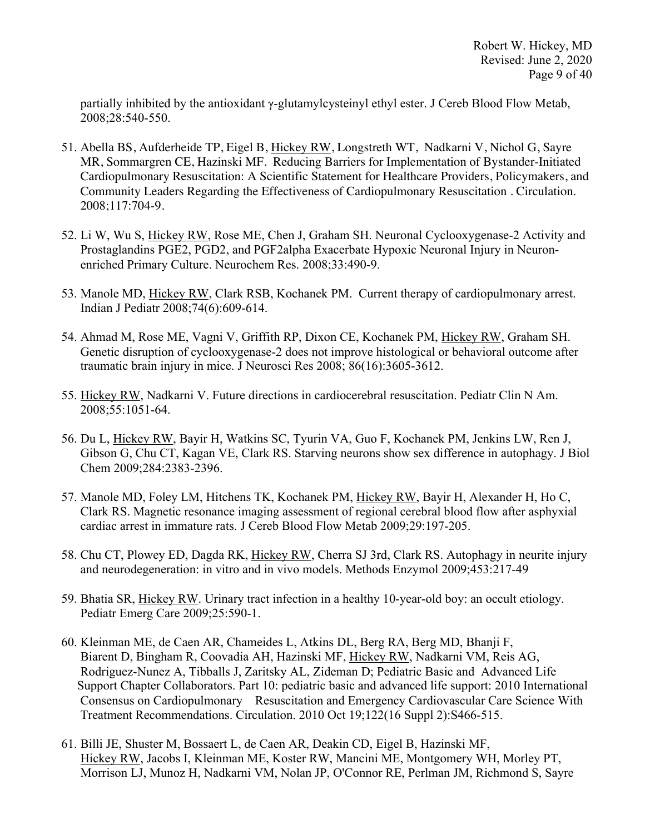partially inhibited by the antioxidant γ-glutamylcysteinyl ethyl ester. J Cereb Blood Flow Metab, 2008;28:540-550.

- 51. Abella BS, Aufderheide TP, Eigel B, Hickey RW, Longstreth WT, Nadkarni V, Nichol G, Sayre MR, Sommargren CE, Hazinski MF. Reducing Barriers for Implementation of Bystander-Initiated Cardiopulmonary Resuscitation: A Scientific Statement for Healthcare Providers, Policymakers, and Community Leaders Regarding the Effectiveness of Cardiopulmonary Resuscitation . Circulation. 2008;117:704-9.
- 52. Li W, Wu S, Hickey RW, Rose ME, Chen J, Graham SH. Neuronal Cyclooxygenase-2 Activity and Prostaglandins PGE2, PGD2, and PGF2alpha Exacerbate Hypoxic Neuronal Injury in Neuronenriched Primary Culture. Neurochem Res. 2008;33:490-9.
- 53. Manole MD, Hickey RW, Clark RSB, Kochanek PM. Current therapy of cardiopulmonary arrest. Indian J Pediatr 2008;74(6):609-614.
- 54. Ahmad M, Rose ME, Vagni V, Griffith RP, Dixon CE, Kochanek PM, Hickey RW, Graham SH. Genetic disruption of cyclooxygenase-2 does not improve histological or behavioral outcome after traumatic brain injury in mice. J Neurosci Res 2008; 86(16):3605-3612.
- 55. Hickey RW, Nadkarni V. Future directions in cardiocerebral resuscitation. Pediatr Clin N Am. 2008;55:1051-64.
- 56. Du L, Hickey RW, Bayir H, Watkins SC, Tyurin VA, Guo F, Kochanek PM, Jenkins LW, Ren J, Gibson G, Chu CT, Kagan VE, Clark RS. Starving neurons show sex difference in autophagy. J Biol Chem 2009;284:2383-2396.
- 57. Manole MD, Foley LM, Hitchens TK, Kochanek PM, Hickey RW, Bayir H, Alexander H, Ho C, Clark RS. Magnetic resonance imaging assessment of regional cerebral blood flow after asphyxial cardiac arrest in immature rats. J Cereb Blood Flow Metab 2009;29:197-205.
- 58. Chu CT, Plowey ED, Dagda RK, Hickey RW, Cherra SJ 3rd, Clark RS. Autophagy in neurite injury and neurodegeneration: in vitro and in vivo models. Methods Enzymol 2009;453:217-49
- 59. Bhatia SR, Hickey RW. Urinary tract infection in a healthy 10-year-old boy: an occult etiology. Pediatr Emerg Care 2009;25:590-1.
- 60. Kleinman ME, de Caen AR, Chameides L, Atkins DL, Berg RA, Berg MD, Bhanji F, Biarent D, Bingham R, Coovadia AH, Hazinski MF, Hickey RW, Nadkarni VM, Reis AG, Rodriguez-Nunez A, Tibballs J, Zaritsky AL, Zideman D; Pediatric Basic and Advanced Life Support Chapter Collaborators. Part 10: pediatric basic and advanced life support: 2010 International Consensus on Cardiopulmonary Resuscitation and Emergency Cardiovascular Care Science With Treatment Recommendations. Circulation. 2010 Oct 19;122(16 Suppl 2):S466-515.
- 61. Billi JE, Shuster M, Bossaert L, de Caen AR, Deakin CD, Eigel B, Hazinski MF, Hickey RW, Jacobs I, Kleinman ME, Koster RW, Mancini ME, Montgomery WH, Morley PT, Morrison LJ, Munoz H, Nadkarni VM, Nolan JP, O'Connor RE, Perlman JM, Richmond S, Sayre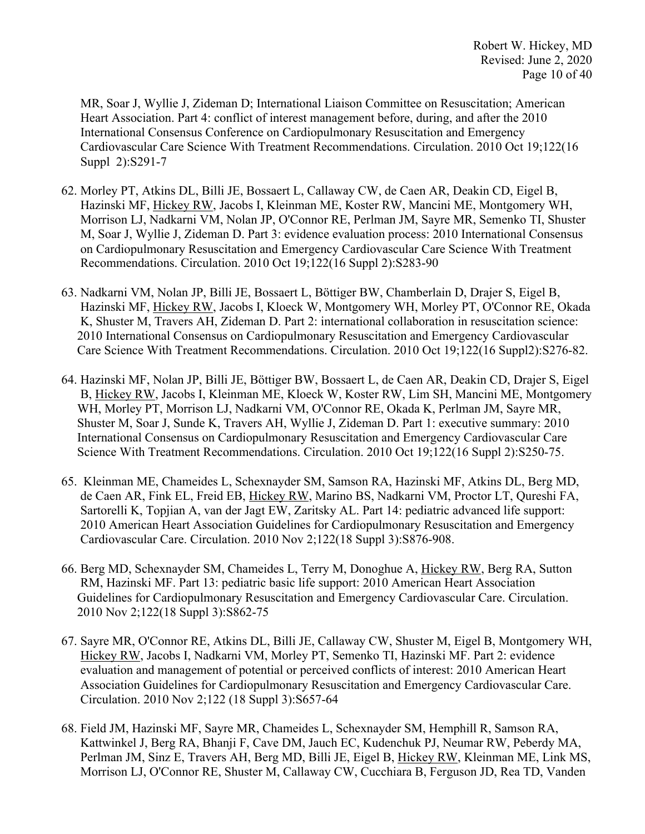MR, Soar J, Wyllie J, Zideman D; International Liaison Committee on Resuscitation; American Heart Association. Part 4: conflict of interest management before, during, and after the 2010 International Consensus Conference on Cardiopulmonary Resuscitation and Emergency Cardiovascular Care Science With Treatment Recommendations. Circulation. 2010 Oct 19;122(16 Suppl 2):S291-7

- 62. Morley PT, Atkins DL, Billi JE, Bossaert L, Callaway CW, de Caen AR, Deakin CD, Eigel B, Hazinski MF, Hickey RW, Jacobs I, Kleinman ME, Koster RW, Mancini ME, Montgomery WH, Morrison LJ, Nadkarni VM, Nolan JP, O'Connor RE, Perlman JM, Sayre MR, Semenko TI, Shuster M, Soar J, Wyllie J, Zideman D. Part 3: evidence evaluation process: 2010 International Consensus on Cardiopulmonary Resuscitation and Emergency Cardiovascular Care Science With Treatment Recommendations. Circulation. 2010 Oct 19;122(16 Suppl 2):S283-90
- 63. Nadkarni VM, Nolan JP, Billi JE, Bossaert L, Böttiger BW, Chamberlain D, Drajer S, Eigel B, Hazinski MF, Hickey RW, Jacobs I, Kloeck W, Montgomery WH, Morley PT, O'Connor RE, Okada K, Shuster M, Travers AH, Zideman D. Part 2: international collaboration in resuscitation science: 2010 International Consensus on Cardiopulmonary Resuscitation and Emergency Cardiovascular Care Science With Treatment Recommendations. Circulation. 2010 Oct 19;122(16 Suppl2):S276-82.
- 64. Hazinski MF, Nolan JP, Billi JE, Böttiger BW, Bossaert L, de Caen AR, Deakin CD, Drajer S, Eigel B, Hickey RW, Jacobs I, Kleinman ME, Kloeck W, Koster RW, Lim SH, Mancini ME, Montgomery WH, Morley PT, Morrison LJ, Nadkarni VM, O'Connor RE, Okada K, Perlman JM, Sayre MR, Shuster M, Soar J, Sunde K, Travers AH, Wyllie J, Zideman D. Part 1: executive summary: 2010 International Consensus on Cardiopulmonary Resuscitation and Emergency Cardiovascular Care Science With Treatment Recommendations. Circulation. 2010 Oct 19;122(16 Suppl 2):S250-75.
- 65. Kleinman ME, Chameides L, Schexnayder SM, Samson RA, Hazinski MF, Atkins DL, Berg MD, de Caen AR, Fink EL, Freid EB, Hickey RW, Marino BS, Nadkarni VM, Proctor LT, Qureshi FA, Sartorelli K, Topjian A, van der Jagt EW, Zaritsky AL. Part 14: pediatric advanced life support: 2010 American Heart Association Guidelines for Cardiopulmonary Resuscitation and Emergency Cardiovascular Care. Circulation. 2010 Nov 2;122(18 Suppl 3):S876-908.
- 66. Berg MD, Schexnayder SM, Chameides L, Terry M, Donoghue A, Hickey RW, Berg RA, Sutton RM, Hazinski MF. Part 13: pediatric basic life support: 2010 American Heart Association Guidelines for Cardiopulmonary Resuscitation and Emergency Cardiovascular Care. Circulation. 2010 Nov 2;122(18 Suppl 3):S862-75
- 67. Sayre MR, O'Connor RE, Atkins DL, Billi JE, Callaway CW, Shuster M, Eigel B, Montgomery WH, Hickey RW, Jacobs I, Nadkarni VM, Morley PT, Semenko TI, Hazinski MF. Part 2: evidence evaluation and management of potential or perceived conflicts of interest: 2010 American Heart Association Guidelines for Cardiopulmonary Resuscitation and Emergency Cardiovascular Care. Circulation. 2010 Nov 2;122 (18 Suppl 3):S657-64
- 68. Field JM, Hazinski MF, Sayre MR, Chameides L, Schexnayder SM, Hemphill R, Samson RA, Kattwinkel J, Berg RA, Bhanji F, Cave DM, Jauch EC, Kudenchuk PJ, Neumar RW, Peberdy MA, Perlman JM, Sinz E, Travers AH, Berg MD, Billi JE, Eigel B, Hickey RW, Kleinman ME, Link MS, Morrison LJ, O'Connor RE, Shuster M, Callaway CW, Cucchiara B, Ferguson JD, Rea TD, Vanden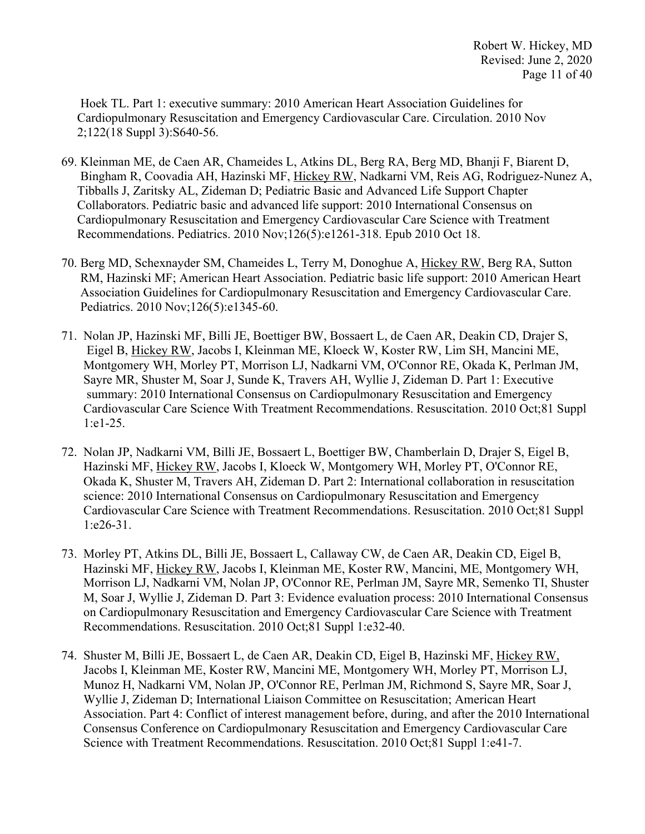Hoek TL. Part 1: executive summary: 2010 American Heart Association Guidelines for Cardiopulmonary Resuscitation and Emergency Cardiovascular Care. Circulation. 2010 Nov 2;122(18 Suppl 3):S640-56.

- 69. Kleinman ME, de Caen AR, Chameides L, Atkins DL, Berg RA, Berg MD, Bhanji F, Biarent D, Bingham R, Coovadia AH, Hazinski MF, Hickey RW, Nadkarni VM, Reis AG, Rodriguez-Nunez A, Tibballs J, Zaritsky AL, Zideman D; Pediatric Basic and Advanced Life Support Chapter Collaborators. Pediatric basic and advanced life support: 2010 International Consensus on Cardiopulmonary Resuscitation and Emergency Cardiovascular Care Science with Treatment Recommendations. Pediatrics. 2010 Nov;126(5):e1261-318. Epub 2010 Oct 18.
- 70. Berg MD, Schexnayder SM, Chameides L, Terry M, Donoghue A, Hickey RW, Berg RA, Sutton RM, Hazinski MF; American Heart Association. Pediatric basic life support: 2010 American Heart Association Guidelines for Cardiopulmonary Resuscitation and Emergency Cardiovascular Care. Pediatrics. 2010 Nov;126(5):e1345-60.
- 71. Nolan JP, Hazinski MF, Billi JE, Boettiger BW, Bossaert L, de Caen AR, Deakin CD, Drajer S, Eigel B, Hickey RW, Jacobs I, Kleinman ME, Kloeck W, Koster RW, Lim SH, Mancini ME, Montgomery WH, Morley PT, Morrison LJ, Nadkarni VM, O'Connor RE, Okada K, Perlman JM, Sayre MR, Shuster M, Soar J, Sunde K, Travers AH, Wyllie J, Zideman D. Part 1: Executive summary: 2010 International Consensus on Cardiopulmonary Resuscitation and Emergency Cardiovascular Care Science With Treatment Recommendations. Resuscitation. 2010 Oct;81 Suppl 1:e1-25.
- 72. Nolan JP, Nadkarni VM, Billi JE, Bossaert L, Boettiger BW, Chamberlain D, Drajer S, Eigel B, Hazinski MF, Hickey RW, Jacobs I, Kloeck W, Montgomery WH, Morley PT, O'Connor RE, Okada K, Shuster M, Travers AH, Zideman D. Part 2: International collaboration in resuscitation science: 2010 International Consensus on Cardiopulmonary Resuscitation and Emergency Cardiovascular Care Science with Treatment Recommendations. Resuscitation. 2010 Oct;81 Suppl 1:e26-31.
- 73. Morley PT, Atkins DL, Billi JE, Bossaert L, Callaway CW, de Caen AR, Deakin CD, Eigel B, Hazinski MF, Hickey RW, Jacobs I, Kleinman ME, Koster RW, Mancini, ME, Montgomery WH, Morrison LJ, Nadkarni VM, Nolan JP, O'Connor RE, Perlman JM, Sayre MR, Semenko TI, Shuster M, Soar J, Wyllie J, Zideman D. Part 3: Evidence evaluation process: 2010 International Consensus on Cardiopulmonary Resuscitation and Emergency Cardiovascular Care Science with Treatment Recommendations. Resuscitation. 2010 Oct;81 Suppl 1:e32-40.
- 74. Shuster M, Billi JE, Bossaert L, de Caen AR, Deakin CD, Eigel B, Hazinski MF, Hickey RW, Jacobs I, Kleinman ME, Koster RW, Mancini ME, Montgomery WH, Morley PT, Morrison LJ, Munoz H, Nadkarni VM, Nolan JP, O'Connor RE, Perlman JM, Richmond S, Sayre MR, Soar J, Wyllie J, Zideman D; International Liaison Committee on Resuscitation; American Heart Association. Part 4: Conflict of interest management before, during, and after the 2010 International Consensus Conference on Cardiopulmonary Resuscitation and Emergency Cardiovascular Care Science with Treatment Recommendations. Resuscitation. 2010 Oct;81 Suppl 1:e41-7.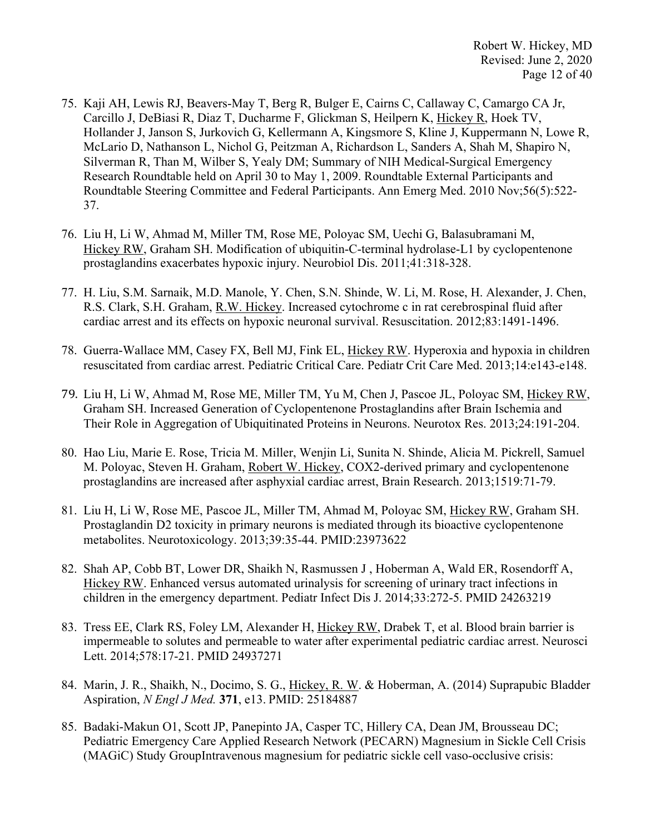- 75. Kaji AH, Lewis RJ, Beavers-May T, Berg R, Bulger E, Cairns C, Callaway C, Camargo CA Jr, Carcillo J, DeBiasi R, Diaz T, Ducharme F, Glickman S, Heilpern K, Hickey R, Hoek TV, Hollander J, Janson S, Jurkovich G, Kellermann A, Kingsmore S, Kline J, Kuppermann N, Lowe R, McLario D, Nathanson L, Nichol G, Peitzman A, Richardson L, Sanders A, Shah M, Shapiro N, Silverman R, Than M, Wilber S, Yealy DM; Summary of NIH Medical-Surgical Emergency Research Roundtable held on April 30 to May 1, 2009. Roundtable External Participants and Roundtable Steering Committee and Federal Participants. Ann Emerg Med. 2010 Nov;56(5):522- 37.
- 76. Liu H, Li W, Ahmad M, Miller TM, Rose ME, Poloyac SM, Uechi G, Balasubramani M, Hickey RW, Graham SH. Modification of ubiquitin-C-terminal hydrolase-L1 by cyclopentenone prostaglandins exacerbates hypoxic injury. Neurobiol Dis. 2011;41:318-328.
- 77. H. Liu, S.M. Sarnaik, M.D. Manole, Y. Chen, S.N. Shinde, W. Li, M. Rose, H. Alexander, J. Chen, R.S. Clark, S.H. Graham, R.W. Hickey. Increased cytochrome c in rat cerebrospinal fluid after cardiac arrest and its effects on hypoxic neuronal survival. Resuscitation. 2012;83:1491-1496.
- 78. Guerra-Wallace MM, Casey FX, Bell MJ, Fink EL, Hickey RW. Hyperoxia and hypoxia in children resuscitated from cardiac arrest. Pediatric Critical Care. Pediatr Crit Care Med. 2013;14:e143-e148.
- 79. Liu H, Li W, Ahmad M, Rose ME, Miller TM, Yu M, Chen J, Pascoe JL, Poloyac SM, Hickey RW, Graham SH. Increased Generation of Cyclopentenone Prostaglandins after Brain Ischemia and Their Role in Aggregation of Ubiquitinated Proteins in Neurons. Neurotox Res. 2013;24:191-204.
- 80. Hao Liu, Marie E. Rose, Tricia M. Miller, Wenjin Li, Sunita N. Shinde, Alicia M. Pickrell, Samuel M. Poloyac, Steven H. Graham, Robert W. Hickey, COX2-derived primary and cyclopentenone prostaglandins are increased after asphyxial cardiac arrest, Brain Research. 2013;1519:71-79.
- 81. Liu H, Li W, Rose ME, Pascoe JL, Miller TM, Ahmad M, Poloyac SM, Hickey RW, Graham SH. Prostaglandin D2 toxicity in primary neurons is mediated through its bioactive cyclopentenone metabolites. Neurotoxicology. 2013;39:35-44. PMID:23973622
- 82. Shah AP, Cobb BT, Lower DR, Shaikh N, Rasmussen J , Hoberman A, Wald ER, Rosendorff A, Hickey RW. Enhanced versus automated urinalysis for screening of urinary tract infections in children in the emergency department. Pediatr Infect Dis J. 2014;33:272-5. PMID 24263219
- 83. Tress EE, Clark RS, Foley LM, Alexander H, Hickey RW, Drabek T, et al. Blood brain barrier is impermeable to solutes and permeable to water after experimental pediatric cardiac arrest. Neurosci Lett. 2014;578:17-21. PMID 24937271
- 84. Marin, J. R., Shaikh, N., Docimo, S. G., Hickey, R. W. & Hoberman, A. (2014) Suprapubic Bladder Aspiration, *N Engl J Med.* **371**, e13. PMID: 25184887
- 85. Badaki-Makun O1, Scott JP, Panepinto JA, Casper TC, Hillery CA, Dean JM, Brousseau DC; Pediatric Emergency Care Applied Research Network (PECARN) Magnesium in Sickle Cell Crisis (MAGiC) Study GroupIntravenous magnesium for pediatric sickle cell vaso-occlusive crisis: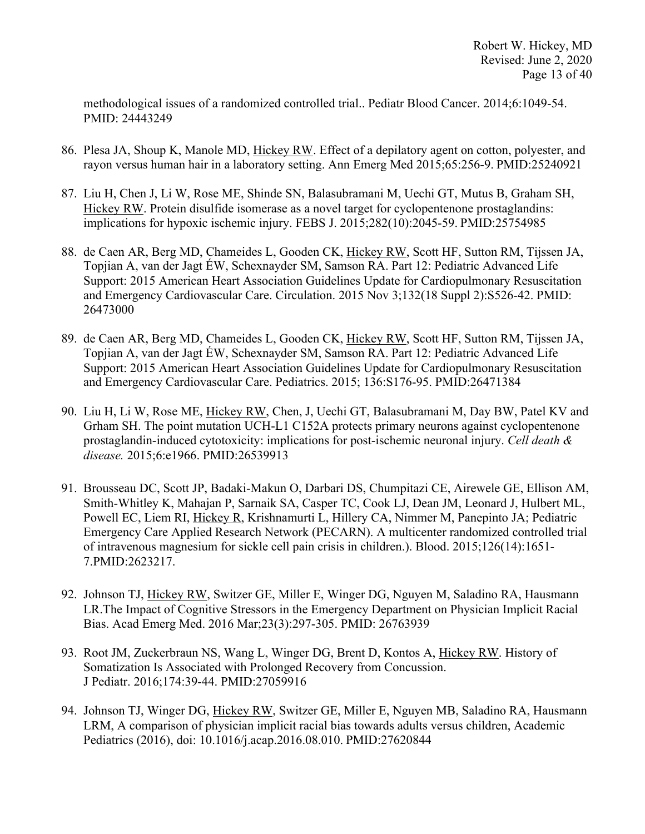methodological issues of a randomized controlled trial.. Pediatr Blood Cancer. 2014;6:1049-54. PMID: 24443249

- 86. Plesa JA, Shoup K, Manole MD, Hickey RW. Effect of a depilatory agent on cotton, polyester, and rayon versus human hair in a laboratory setting. Ann Emerg Med 2015;65:256-9. PMID:25240921
- 87. Liu H, Chen J, Li W, Rose ME, Shinde SN, Balasubramani M, Uechi GT, Mutus B, Graham SH, Hickey RW. Protein disulfide isomerase as a novel target for cyclopentenone prostaglandins: implications for hypoxic ischemic injury. FEBS J. 2015;282(10):2045-59. PMID:25754985
- 88. de Caen AR, Berg MD, Chameides L, Gooden CK, Hickey RW, Scott HF, Sutton RM, Tijssen JA, Topjian A, van der Jagt ÉW, Schexnayder SM, Samson RA. Part 12: Pediatric Advanced Life Support: 2015 American Heart Association Guidelines Update for Cardiopulmonary Resuscitation and Emergency Cardiovascular Care. Circulation. 2015 Nov 3;132(18 Suppl 2):S526-42. PMID: 26473000
- 89. de Caen AR, Berg MD, Chameides L, Gooden CK, Hickey RW, Scott HF, Sutton RM, Tijssen JA, Topjian A, van der Jagt ÉW, Schexnayder SM, Samson RA. Part 12: Pediatric Advanced Life Support: 2015 American Heart Association Guidelines Update for Cardiopulmonary Resuscitation and Emergency Cardiovascular Care. Pediatrics. 2015; 136:S176-95. PMID:26471384
- 90. Liu H, Li W, Rose ME, Hickey RW, Chen, J, Uechi GT, Balasubramani M, Day BW, Patel KV and Grham SH. The point mutation UCH-L1 C152A protects primary neurons against cyclopentenone prostaglandin-induced cytotoxicity: implications for post-ischemic neuronal injury. *Cell death & disease.* 2015;6:e1966. PMID:26539913
- 91. Brousseau DC, Scott JP, Badaki-Makun O, Darbari DS, Chumpitazi CE, Airewele GE, Ellison AM, Smith-Whitley K, Mahajan P, Sarnaik SA, Casper TC, Cook LJ, Dean JM, Leonard J, Hulbert ML, Powell EC, Liem RI, Hickey R, Krishnamurti L, Hillery CA, Nimmer M, Panepinto JA; Pediatric Emergency Care Applied Research Network (PECARN). A multicenter randomized controlled trial of intravenous magnesium for sickle cell pain crisis in children.). Blood. 2015;126(14):1651- 7.PMID:2623217.
- 92. Johnson TJ, Hickey RW, Switzer GE, Miller E, Winger DG, Nguyen M, Saladino RA, Hausmann LR.The Impact of Cognitive Stressors in the Emergency Department on Physician Implicit Racial Bias. Acad Emerg Med. 2016 Mar;23(3):297-305. PMID: 26763939
- 93. Root JM, Zuckerbraun NS, Wang L, Winger DG, Brent D, Kontos A, Hickey RW. History of Somatization Is Associated with Prolonged Recovery from Concussion. J Pediatr. 2016;174:39-44. PMID:27059916
- 94. Johnson TJ, Winger DG, Hickey RW, Switzer GE, Miller E, Nguyen MB, Saladino RA, Hausmann LRM, A comparison of physician implicit racial bias towards adults versus children, Academic Pediatrics (2016), doi: 10.1016/j.acap.2016.08.010. PMID:27620844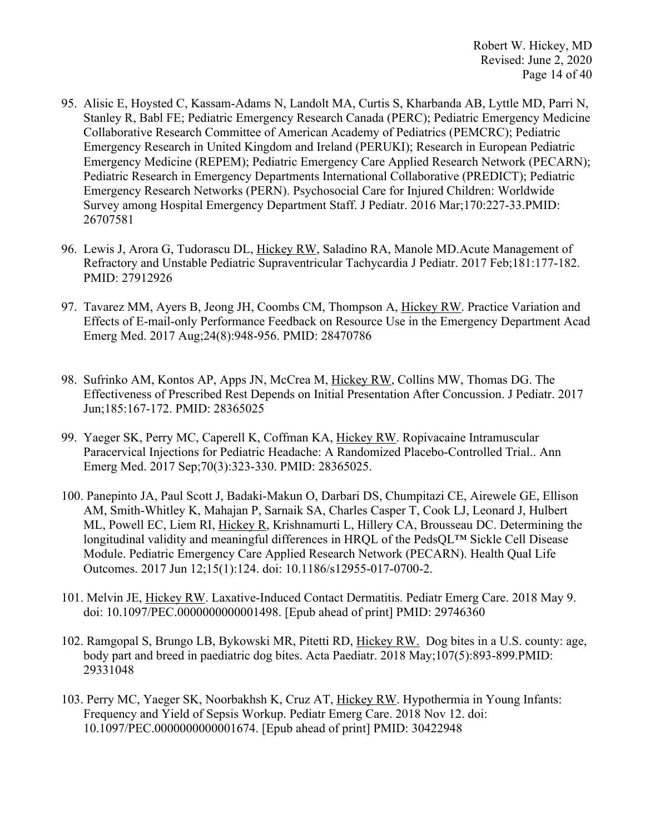- 95. Alisic E, Hoysted C, Kassam-Adams N, Landolt MA, Curtis S, Kharbanda AB, Lyttle MD, Parri N, Stanley R, Babl FE; Pediatric Emergency Research Canada (PERC); Pediatric Emergency Medicine Collaborative Research Committee of American Academy of Pediatrics (PEMCRC); Pediatric Emergency Research in United Kingdom and Ireland (PERUKI); Research in European Pediatric Emergency Medicine (REPEM); Pediatric Emergency Care Applied Research Network (PECARN); Pediatric Research in Emergency Departments International Collaborative (PREDICT); Pediatric Emergency Research Networks (PERN). Psychosocial Care for Injured Children: Worldwide Survey among Hospital Emergency Department Staff. J Pediatr. 2016 Mar;170:227-33.PMID: 26707581
- 96. Lewis J, Arora G, Tudorascu DL, Hickey RW, Saladino RA, Manole MD.Acute Management of Refractory and Unstable Pediatric Supraventricular Tachycardia J Pediatr. 2017 Feb;181:177-182. PMID: 27912926
- 97. Tavarez MM, Ayers B, Jeong JH, Coombs CM, Thompson A, Hickey RW. Practice Variation and Effects of E-mail-only Performance Feedback on Resource Use in the Emergency Department Acad Emerg Med. 2017 Aug;24(8):948-956. PMID: 28470786
- 98. Sufrinko AM, Kontos AP, Apps JN, McCrea M, Hickey RW, Collins MW, Thomas DG. The Effectiveness of Prescribed Rest Depends on Initial Presentation After Concussion. J Pediatr. 2017 Jun;185:167-172. PMID: 28365025
- 99. Yaeger SK, Perry MC, Caperell K, Coffman KA, Hickey RW. Ropivacaine Intramuscular Paracervical Injections for Pediatric Headache: A Randomized Placebo-Controlled Trial.. Ann Emerg Med. 2017 Sep;70(3):323-330. PMID: 28365025.
- 100. Panepinto JA, Paul Scott J, Badaki-Makun O, Darbari DS, Chumpitazi CE, Airewele GE, Ellison AM, Smith-Whitley K, Mahajan P, Sarnaik SA, Charles Casper T, Cook LJ, Leonard J, Hulbert ML, Powell EC, Liem RI, Hickey R, Krishnamurti L, Hillery CA, Brousseau DC. Determining the longitudinal validity and meaningful differences in HROL of the PedsOL™ Sickle Cell Disease Module. Pediatric Emergency Care Applied Research Network (PECARN). Health Qual Life Outcomes. 2017 Jun 12;15(1):124. doi: 10.1186/s12955-017-0700-2.
- 101. Melvin JE, Hickey RW. Laxative-Induced Contact Dermatitis. Pediatr Emerg Care. 2018 May 9. doi: 10.1097/PEC.0000000000001498. [Epub ahead of print] PMID: 29746360
- 102. Ramgopal S, Brungo LB, Bykowski MR, Pitetti RD, Hickey RW. Dog bites in a U.S. county: age, body part and breed in paediatric dog bites. Acta Paediatr. 2018 May;107(5):893-899.PMID: 29331048
- 103. Perry MC, Yaeger SK, Noorbakhsh K, Cruz AT, Hickey RW. Hypothermia in Young Infants: Frequency and Yield of Sepsis Workup. Pediatr Emerg Care. 2018 Nov 12. doi: 10.1097/PEC.0000000000001674. [Epub ahead of print] PMID: 30422948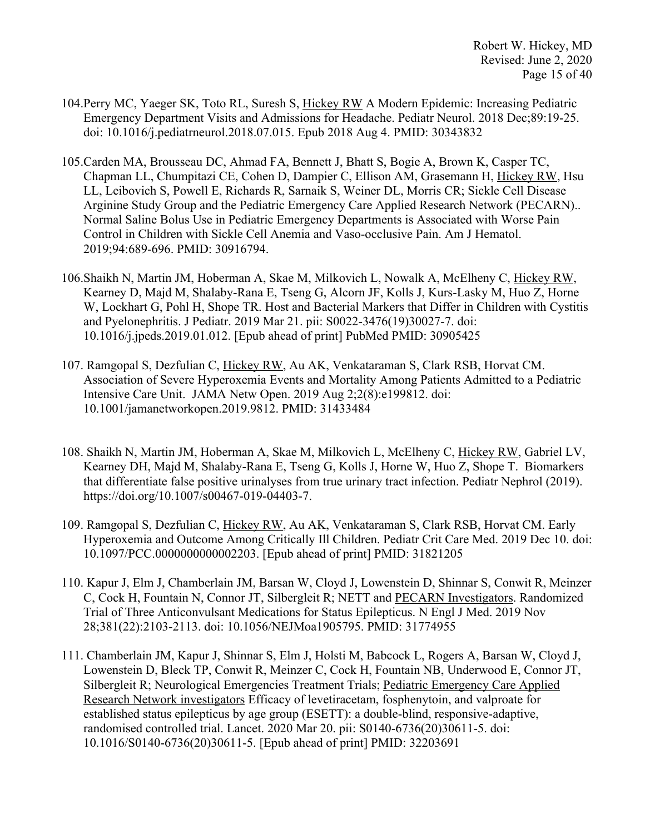- 104. Perry MC, Yaeger SK, Toto RL, Suresh S, Hickey RW A Modern Epidemic: Increasing Pediatric Emergency Department Visits and Admissions for Headache. Pediatr Neurol. 2018 Dec;89:19-25. doi: 10.1016/j.pediatrneurol.2018.07.015. Epub 2018 Aug 4. PMID: 30343832
- 105.Carden MA, Brousseau DC, Ahmad FA, Bennett J, Bhatt S, Bogie A, Brown K, Casper TC, Chapman LL, Chumpitazi CE, Cohen D, Dampier C, Ellison AM, Grasemann H, Hickey RW, Hsu LL, Leibovich S, Powell E, Richards R, Sarnaik S, Weiner DL, Morris CR; Sickle Cell Disease Arginine Study Group and the Pediatric Emergency Care Applied Research Network (PECARN).. Normal Saline Bolus Use in Pediatric Emergency Departments is Associated with Worse Pain Control in Children with Sickle Cell Anemia and Vaso-occlusive Pain. Am J Hematol. 2019;94:689-696. PMID: 30916794.
- 106.Shaikh N, Martin JM, Hoberman A, Skae M, Milkovich L, Nowalk A, McElheny C, Hickey RW, Kearney D, Majd M, Shalaby-Rana E, Tseng G, Alcorn JF, Kolls J, Kurs-Lasky M, Huo Z, Horne W, Lockhart G, Pohl H, Shope TR. Host and Bacterial Markers that Differ in Children with Cystitis and Pyelonephritis. J Pediatr. 2019 Mar 21. pii: S0022-3476(19)30027-7. doi: 10.1016/j.jpeds.2019.01.012. [Epub ahead of print] PubMed PMID: 30905425
- 107. Ramgopal S, Dezfulian C, Hickey RW, Au AK, Venkataraman S, Clark RSB, Horvat CM. Association of Severe Hyperoxemia Events and Mortality Among Patients Admitted to a Pediatric Intensive Care Unit. JAMA Netw Open. 2019 Aug 2;2(8):e199812. doi: 10.1001/jamanetworkopen.2019.9812. PMID: 31433484
- 108. Shaikh N, Martin JM, Hoberman A, Skae M, Milkovich L, McElheny C, Hickey RW, Gabriel LV, Kearney DH, Majd M, Shalaby-Rana E, Tseng G, Kolls J, Horne W, Huo Z, Shope T. Biomarkers that differentiate false positive urinalyses from true urinary tract infection. Pediatr Nephrol (2019). https://doi.org/10.1007/s00467-019-04403-7.
- 109. Ramgopal S, Dezfulian C, Hickey RW, Au AK, Venkataraman S, Clark RSB, Horvat CM. Early Hyperoxemia and Outcome Among Critically Ill Children. Pediatr Crit Care Med. 2019 Dec 10. doi: 10.1097/PCC.0000000000002203. [Epub ahead of print] PMID: 31821205
- 110. Kapur J, Elm J, Chamberlain JM, Barsan W, Cloyd J, Lowenstein D, Shinnar S, Conwit R, Meinzer C, Cock H, Fountain N, Connor JT, Silbergleit R; NETT and PECARN Investigators. Randomized Trial of Three Anticonvulsant Medications for Status Epilepticus. N Engl J Med. 2019 Nov 28;381(22):2103-2113. doi: 10.1056/NEJMoa1905795. PMID: 31774955
- 111. Chamberlain JM, Kapur J, Shinnar S, Elm J, Holsti M, Babcock L, Rogers A, Barsan W, Cloyd J, Lowenstein D, Bleck TP, Conwit R, Meinzer C, Cock H, Fountain NB, Underwood E, Connor JT, Silbergleit R; Neurological Emergencies Treatment Trials; Pediatric Emergency Care Applied Research Network investigators Efficacy of levetiracetam, fosphenytoin, and valproate for established status epilepticus by age group (ESETT): a double-blind, responsive-adaptive, randomised controlled trial. Lancet. 2020 Mar 20. pii: S0140-6736(20)30611-5. doi: 10.1016/S0140-6736(20)30611-5. [Epub ahead of print] PMID: 32203691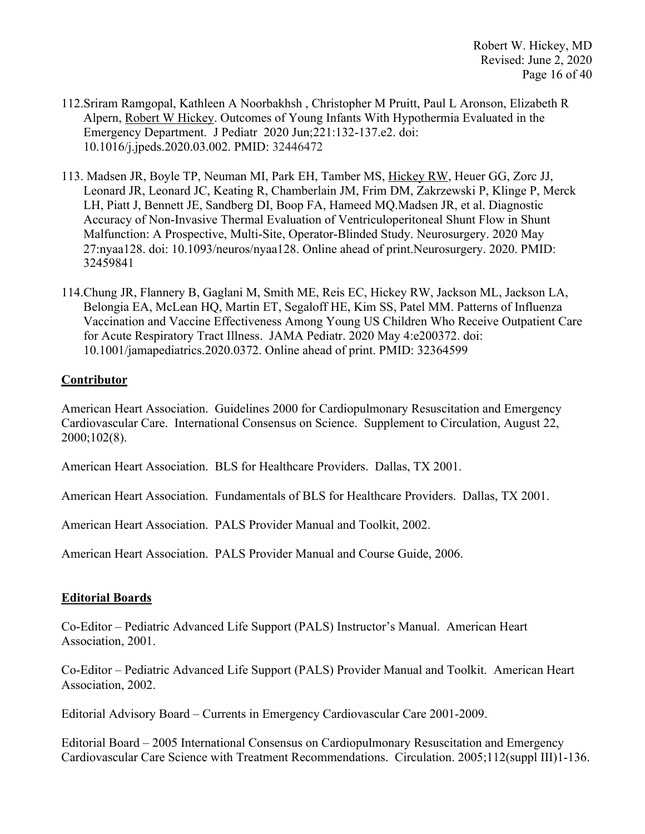Robert W. Hickey, MD Revised: June 2, 2020 Page 16 of 40

- 112.Sriram Ramgopal, Kathleen A Noorbakhsh , Christopher M Pruitt, Paul L Aronson, Elizabeth R Alpern, Robert W Hickey. Outcomes of Young Infants With Hypothermia Evaluated in the Emergency Department. J Pediatr 2020 Jun;221:132-137.e2. doi: 10.1016/j.jpeds.2020.03.002. PMID: 32446472
- 113. Madsen JR, Boyle TP, Neuman MI, Park EH, Tamber MS, Hickey RW, Heuer GG, Zorc JJ, Leonard JR, Leonard JC, Keating R, Chamberlain JM, Frim DM, Zakrzewski P, Klinge P, Merck LH, Piatt J, Bennett JE, Sandberg DI, Boop FA, Hameed MQ.Madsen JR, et al. Diagnostic Accuracy of Non-Invasive Thermal Evaluation of Ventriculoperitoneal Shunt Flow in Shunt Malfunction: A Prospective, Multi-Site, Operator-Blinded Study. Neurosurgery. 2020 May 27:nyaa128. doi: 10.1093/neuros/nyaa128. Online ahead of print.Neurosurgery. 2020. PMID: 32459841
- 114.Chung JR, Flannery B, Gaglani M, Smith ME, Reis EC, Hickey RW, Jackson ML, Jackson LA, Belongia EA, McLean HQ, Martin ET, Segaloff HE, Kim SS, Patel MM. Patterns of Influenza Vaccination and Vaccine Effectiveness Among Young US Children Who Receive Outpatient Care for Acute Respiratory Tract Illness. JAMA Pediatr. 2020 May 4:e200372. doi: 10.1001/jamapediatrics.2020.0372. Online ahead of print. PMID: 32364599

#### **Contributor**

American Heart Association. Guidelines 2000 for Cardiopulmonary Resuscitation and Emergency Cardiovascular Care. International Consensus on Science. Supplement to Circulation, August 22, 2000;102(8).

American Heart Association. BLS for Healthcare Providers. Dallas, TX 2001.

American Heart Association. Fundamentals of BLS for Healthcare Providers. Dallas, TX 2001.

American Heart Association. PALS Provider Manual and Toolkit, 2002.

American Heart Association. PALS Provider Manual and Course Guide, 2006.

#### **Editorial Boards**

Co-Editor – Pediatric Advanced Life Support (PALS) Instructor's Manual. American Heart Association, 2001.

Co-Editor – Pediatric Advanced Life Support (PALS) Provider Manual and Toolkit. American Heart Association, 2002.

Editorial Advisory Board – Currents in Emergency Cardiovascular Care 2001-2009.

Editorial Board – 2005 International Consensus on Cardiopulmonary Resuscitation and Emergency Cardiovascular Care Science with Treatment Recommendations. Circulation. 2005;112(suppl III)1-136.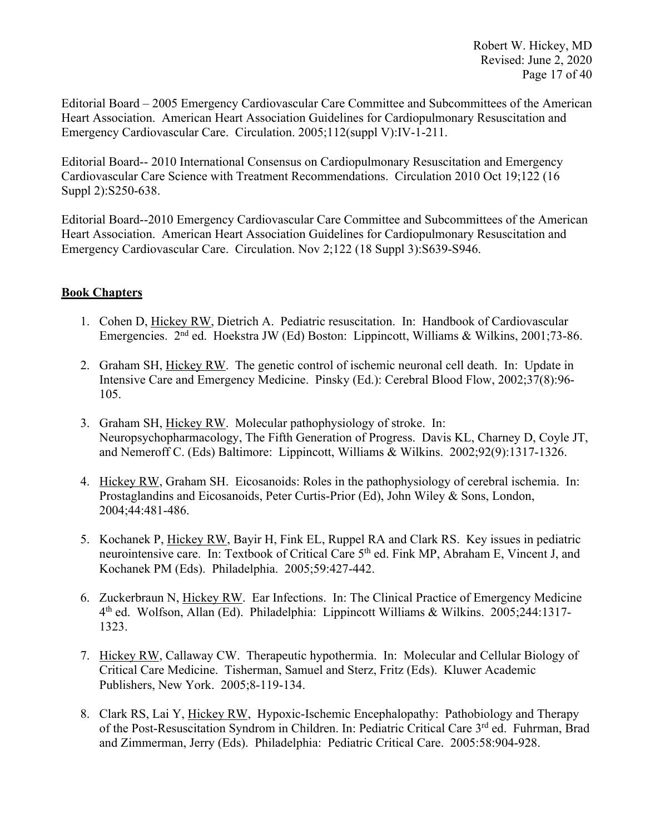Editorial Board – 2005 Emergency Cardiovascular Care Committee and Subcommittees of the American Heart Association. American Heart Association Guidelines for Cardiopulmonary Resuscitation and Emergency Cardiovascular Care. Circulation. 2005;112(suppl V):IV-1-211.

Editorial Board-- 2010 International Consensus on Cardiopulmonary Resuscitation and Emergency Cardiovascular Care Science with Treatment Recommendations. Circulation 2010 Oct 19;122 (16 Suppl 2):S250-638.

Editorial Board--2010 Emergency Cardiovascular Care Committee and Subcommittees of the American Heart Association. American Heart Association Guidelines for Cardiopulmonary Resuscitation and Emergency Cardiovascular Care. Circulation. Nov 2;122 (18 Suppl 3):S639-S946.

# **Book Chapters**

- 1. Cohen D, Hickey RW, Dietrich A. Pediatric resuscitation. In: Handbook of Cardiovascular Emergencies. 2nd ed. Hoekstra JW (Ed) Boston: Lippincott, Williams & Wilkins, 2001;73-86.
- 2. Graham SH, Hickey RW. The genetic control of ischemic neuronal cell death. In: Update in Intensive Care and Emergency Medicine. Pinsky (Ed.): Cerebral Blood Flow, 2002;37(8):96- 105.
- 3. Graham SH, Hickey RW. Molecular pathophysiology of stroke. In: Neuropsychopharmacology, The Fifth Generation of Progress. Davis KL, Charney D, Coyle JT, and Nemeroff C. (Eds) Baltimore: Lippincott, Williams & Wilkins. 2002;92(9):1317-1326.
- 4. Hickey RW, Graham SH. Eicosanoids: Roles in the pathophysiology of cerebral ischemia. In: Prostaglandins and Eicosanoids, Peter Curtis-Prior (Ed), John Wiley & Sons, London, 2004;44:481-486.
- 5. Kochanek P, Hickey RW, Bayir H, Fink EL, Ruppel RA and Clark RS. Key issues in pediatric neurointensive care. In: Textbook of Critical Care 5<sup>th</sup> ed. Fink MP, Abraham E, Vincent J, and Kochanek PM (Eds). Philadelphia. 2005;59:427-442.
- 6. Zuckerbraun N, Hickey RW. Ear Infections. In: The Clinical Practice of Emergency Medicine 4th ed. Wolfson, Allan (Ed). Philadelphia: Lippincott Williams & Wilkins. 2005;244:1317- 1323.
- 7. Hickey RW, Callaway CW. Therapeutic hypothermia. In: Molecular and Cellular Biology of Critical Care Medicine. Tisherman, Samuel and Sterz, Fritz (Eds). Kluwer Academic Publishers, New York. 2005;8-119-134.
- 8. Clark RS, Lai Y, Hickey RW, Hypoxic-Ischemic Encephalopathy: Pathobiology and Therapy of the Post-Resuscitation Syndrom in Children. In: Pediatric Critical Care 3rd ed. Fuhrman. Brad and Zimmerman, Jerry (Eds). Philadelphia: Pediatric Critical Care. 2005:58:904-928.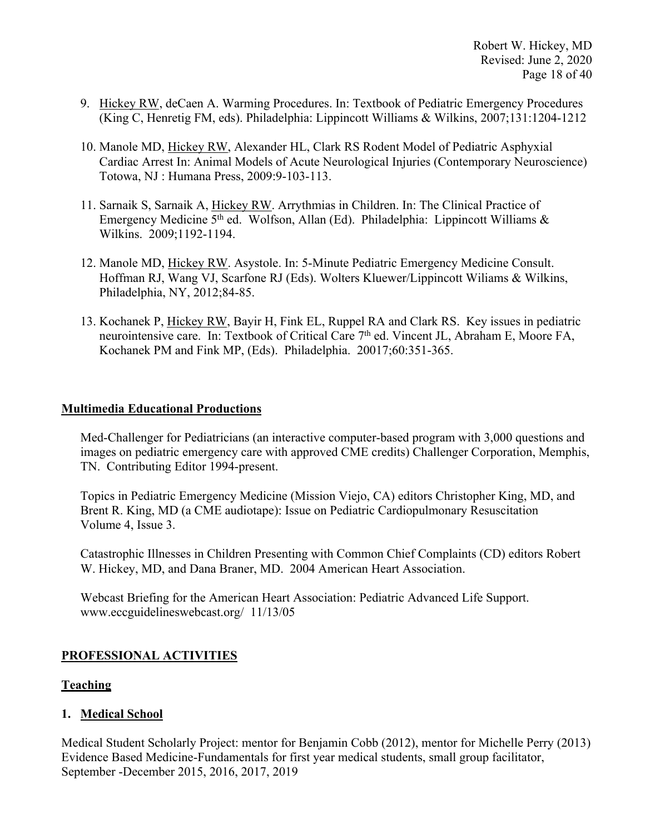- 9. Hickey RW, deCaen A. Warming Procedures. In: Textbook of Pediatric Emergency Procedures (King C, Henretig FM, eds). Philadelphia: Lippincott Williams & Wilkins, 2007;131:1204-1212
- 10. Manole MD, Hickey RW, Alexander HL, Clark RS Rodent Model of Pediatric Asphyxial Cardiac Arrest In: Animal Models of Acute Neurological Injuries (Contemporary Neuroscience) Totowa, NJ : Humana Press, 2009:9-103-113.
- 11. Sarnaik S, Sarnaik A, Hickey RW. Arrythmias in Children. In: The Clinical Practice of Emergency Medicine 5<sup>th</sup> ed. Wolfson, Allan (Ed). Philadelphia: Lippincott Williams  $\&$ Wilkins. 2009;1192-1194.
- 12. Manole MD, Hickey RW. Asystole. In: 5-Minute Pediatric Emergency Medicine Consult. Hoffman RJ, Wang VJ, Scarfone RJ (Eds). Wolters Kluewer/Lippincott Wiliams & Wilkins, Philadelphia, NY, 2012;84-85.
- 13. Kochanek P, Hickey RW, Bayir H, Fink EL, Ruppel RA and Clark RS. Key issues in pediatric neurointensive care. In: Textbook of Critical Care 7<sup>th</sup> ed. Vincent JL, Abraham E, Moore FA, Kochanek PM and Fink MP, (Eds). Philadelphia. 20017;60:351-365.

#### **Multimedia Educational Productions**

Med-Challenger for Pediatricians (an interactive computer-based program with 3,000 questions and images on pediatric emergency care with approved CME credits) Challenger Corporation, Memphis, TN. Contributing Editor 1994-present.

Topics in Pediatric Emergency Medicine (Mission Viejo, CA) editors Christopher King, MD, and Brent R. King, MD (a CME audiotape): Issue on Pediatric Cardiopulmonary Resuscitation Volume 4, Issue 3.

Catastrophic Illnesses in Children Presenting with Common Chief Complaints (CD) editors Robert W. Hickey, MD, and Dana Braner, MD. 2004 American Heart Association.

Webcast Briefing for the American Heart Association: Pediatric Advanced Life Support. www.eccguidelineswebcast.org/ 11/13/05

# **PROFESSIONAL ACTIVITIES**

# **Teaching**

# **1. Medical School**

Medical Student Scholarly Project: mentor for Benjamin Cobb (2012), mentor for Michelle Perry (2013) Evidence Based Medicine-Fundamentals for first year medical students, small group facilitator, September -December 2015, 2016, 2017, 2019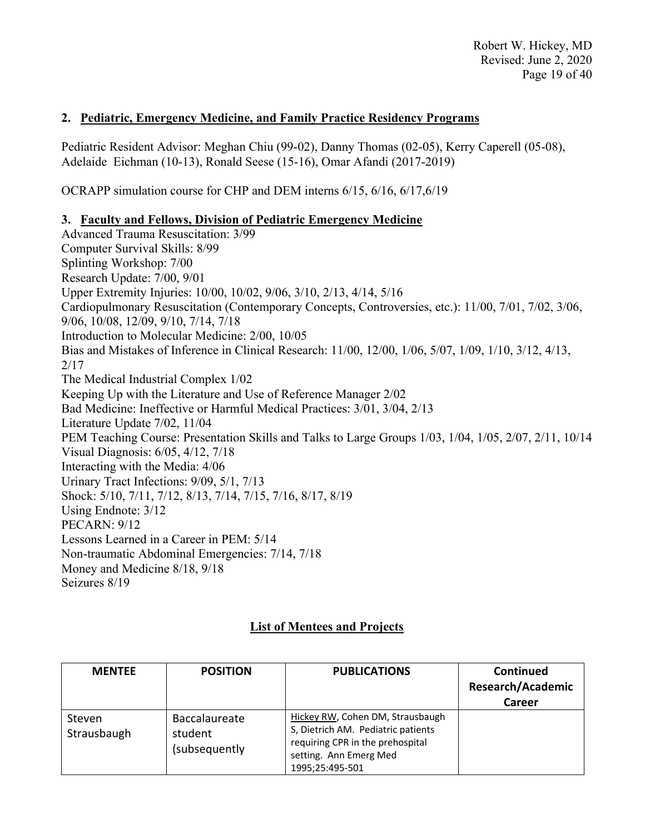Robert W. Hickey, MD Revised: June 2, 2020 Page 19 of 40

# **2. Pediatric, Emergency Medicine, and Family Practice Residency Programs**

Pediatric Resident Advisor: Meghan Chiu (99-02), Danny Thomas (02-05), Kerry Caperell (05-08), Adelaide Eichman (10-13), Ronald Seese (15-16), Omar Afandi (2017-2019)

OCRAPP simulation course for CHP and DEM interns 6/15, 6/16, 6/17,6/19

#### **3. Faculty and Fellows, Division of Pediatric Emergency Medicine**

Advanced Trauma Resuscitation: 3/99 Computer Survival Skills: 8/99 Splinting Workshop: 7/00 Research Update: 7/00, 9/01 Upper Extremity Injuries: 10/00, 10/02, 9/06, 3/10, 2/13, 4/14, 5/16 Cardiopulmonary Resuscitation (Contemporary Concepts, Controversies, etc.): 11/00, 7/01, 7/02, 3/06, 9/06, 10/08, 12/09, 9/10, 7/14, 7/18 Introduction to Molecular Medicine: 2/00, 10/05 Bias and Mistakes of Inference in Clinical Research: 11/00, 12/00, 1/06, 5/07, 1/09, 1/10, 3/12, 4/13, 2/17 The Medical Industrial Complex 1/02 Keeping Up with the Literature and Use of Reference Manager 2/02 Bad Medicine: Ineffective or Harmful Medical Practices: 3/01, 3/04, 2/13 Literature Update 7/02, 11/04 PEM Teaching Course: Presentation Skills and Talks to Large Groups 1/03, 1/04, 1/05, 2/07, 2/11, 10/14 Visual Diagnosis: 6/05, 4/12, 7/18 Interacting with the Media: 4/06 Urinary Tract Infections: 9/09, 5/1, 7/13 Shock: 5/10, 7/11, 7/12, 8/13, 7/14, 7/15, 7/16, 8/17, 8/19 Using Endnote: 3/12 PECARN: 9/12 Lessons Learned in a Career in PEM: 5/14 Non-traumatic Abdominal Emergencies: 7/14, 7/18 Money and Medicine 8/18, 9/18 Seizures 8/19

# **List of Mentees and Projects**

| <b>MENTEE</b>         | <b>POSITION</b>                           | <b>PUBLICATIONS</b>                                                                                                                                     | <b>Continued</b><br><b>Research/Academic</b><br>Career |
|-----------------------|-------------------------------------------|---------------------------------------------------------------------------------------------------------------------------------------------------------|--------------------------------------------------------|
| Steven<br>Strausbaugh | Baccalaureate<br>student<br>(subsequently | Hickey RW, Cohen DM, Strausbaugh<br>S, Dietrich AM. Pediatric patients<br>requiring CPR in the prehospital<br>setting. Ann Emerg Med<br>1995;25:495-501 |                                                        |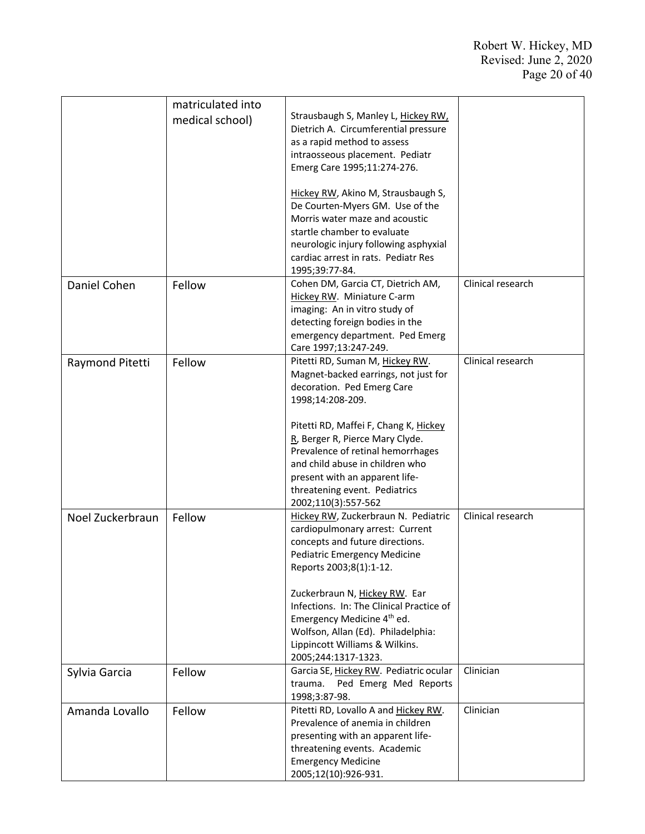|                  | matriculated into |                                          |                   |
|------------------|-------------------|------------------------------------------|-------------------|
|                  |                   | Strausbaugh S, Manley L, Hickey RW,      |                   |
|                  | medical school)   | Dietrich A. Circumferential pressure     |                   |
|                  |                   | as a rapid method to assess              |                   |
|                  |                   | intraosseous placement. Pediatr          |                   |
|                  |                   |                                          |                   |
|                  |                   | Emerg Care 1995;11:274-276.              |                   |
|                  |                   | Hickey RW, Akino M, Strausbaugh S,       |                   |
|                  |                   | De Courten-Myers GM. Use of the          |                   |
|                  |                   | Morris water maze and acoustic           |                   |
|                  |                   | startle chamber to evaluate              |                   |
|                  |                   | neurologic injury following asphyxial    |                   |
|                  |                   | cardiac arrest in rats. Pediatr Res      |                   |
|                  |                   | 1995;39:77-84.                           |                   |
| Daniel Cohen     | Fellow            | Cohen DM, Garcia CT, Dietrich AM,        | Clinical research |
|                  |                   | Hickey RW. Miniature C-arm               |                   |
|                  |                   | imaging: An in vitro study of            |                   |
|                  |                   | detecting foreign bodies in the          |                   |
|                  |                   | emergency department. Ped Emerg          |                   |
|                  |                   | Care 1997;13:247-249.                    |                   |
| Raymond Pitetti  | Fellow            | Pitetti RD, Suman M, Hickey RW.          | Clinical research |
|                  |                   | Magnet-backed earrings, not just for     |                   |
|                  |                   | decoration. Ped Emerg Care               |                   |
|                  |                   | 1998;14:208-209.                         |                   |
|                  |                   |                                          |                   |
|                  |                   | Pitetti RD, Maffei F, Chang K, Hickey    |                   |
|                  |                   | R., Berger R, Pierce Mary Clyde.         |                   |
|                  |                   | Prevalence of retinal hemorrhages        |                   |
|                  |                   | and child abuse in children who          |                   |
|                  |                   | present with an apparent life-           |                   |
|                  |                   | threatening event. Pediatrics            |                   |
|                  |                   | 2002;110(3):557-562                      |                   |
| Noel Zuckerbraun | Fellow            | Hickey RW, Zuckerbraun N. Pediatric      | Clinical research |
|                  |                   | cardiopulmonary arrest: Current          |                   |
|                  |                   | concepts and future directions.          |                   |
|                  |                   | <b>Pediatric Emergency Medicine</b>      |                   |
|                  |                   | Reports 2003;8(1):1-12.                  |                   |
|                  |                   |                                          |                   |
|                  |                   | Zuckerbraun N, Hickey RW. Ear            |                   |
|                  |                   | Infections. In: The Clinical Practice of |                   |
|                  |                   | Emergency Medicine 4 <sup>th</sup> ed.   |                   |
|                  |                   | Wolfson, Allan (Ed). Philadelphia:       |                   |
|                  |                   | Lippincott Williams & Wilkins.           |                   |
|                  |                   | 2005;244:1317-1323.                      |                   |
| Sylvia Garcia    | Fellow            | Garcia SE, Hickey RW. Pediatric ocular   | Clinician         |
|                  |                   | Ped Emerg Med Reports<br>trauma.         |                   |
|                  |                   | 1998;3:87-98.                            |                   |
| Amanda Lovallo   | Fellow            | Pitetti RD, Lovallo A and Hickey RW.     | Clinician         |
|                  |                   | Prevalence of anemia in children         |                   |
|                  |                   | presenting with an apparent life-        |                   |
|                  |                   | threatening events. Academic             |                   |
|                  |                   | <b>Emergency Medicine</b>                |                   |
|                  |                   | 2005;12(10):926-931.                     |                   |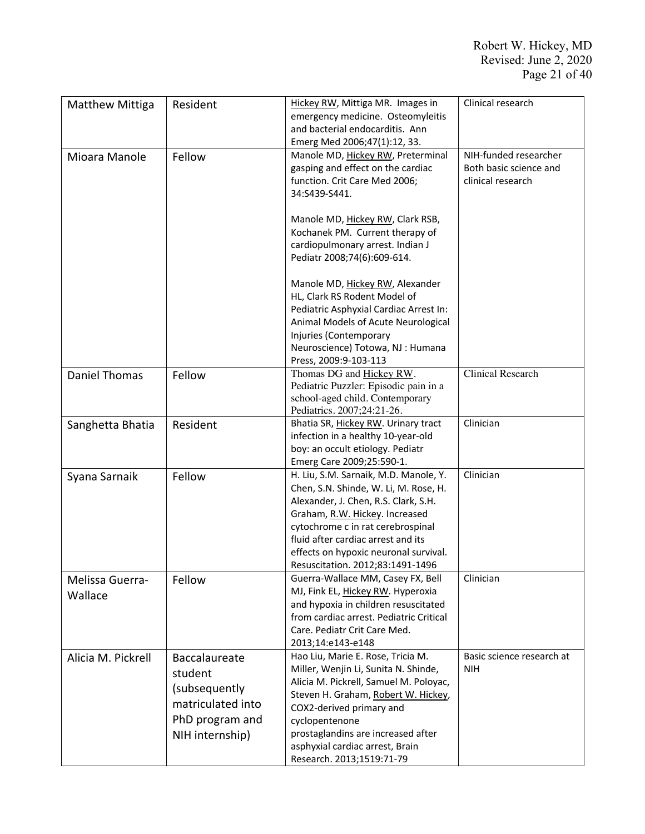| <b>Matthew Mittiga</b>     | Resident                                                                                             | Hickey RW, Mittiga MR. Images in<br>emergency medicine. Osteomyleitis<br>and bacterial endocarditis. Ann<br>Emerg Med 2006;47(1):12, 33.                                                                                                                                                                         | Clinical research                                                    |
|----------------------------|------------------------------------------------------------------------------------------------------|------------------------------------------------------------------------------------------------------------------------------------------------------------------------------------------------------------------------------------------------------------------------------------------------------------------|----------------------------------------------------------------------|
| Mioara Manole              | Fellow                                                                                               | Manole MD, Hickey RW, Preterminal<br>gasping and effect on the cardiac<br>function. Crit Care Med 2006;<br>34:S439-S441.                                                                                                                                                                                         | NIH-funded researcher<br>Both basic science and<br>clinical research |
|                            |                                                                                                      | Manole MD, Hickey RW, Clark RSB,<br>Kochanek PM. Current therapy of<br>cardiopulmonary arrest. Indian J<br>Pediatr 2008;74(6):609-614.                                                                                                                                                                           |                                                                      |
|                            |                                                                                                      | Manole MD, Hickey RW, Alexander<br>HL, Clark RS Rodent Model of<br>Pediatric Asphyxial Cardiac Arrest In:<br>Animal Models of Acute Neurological<br>Injuries (Contemporary<br>Neuroscience) Totowa, NJ : Humana<br>Press, 2009:9-103-113                                                                         |                                                                      |
| <b>Daniel Thomas</b>       | Fellow                                                                                               | Thomas DG and Hickey RW.<br>Pediatric Puzzler: Episodic pain in a<br>school-aged child. Contemporary<br>Pediatrics. 2007;24:21-26.                                                                                                                                                                               | <b>Clinical Research</b>                                             |
| Sanghetta Bhatia           | Resident                                                                                             | Bhatia SR, Hickey RW. Urinary tract<br>infection in a healthy 10-year-old<br>boy: an occult etiology. Pediatr<br>Emerg Care 2009;25:590-1.                                                                                                                                                                       | Clinician                                                            |
| Syana Sarnaik              | Fellow                                                                                               | H. Liu, S.M. Sarnaik, M.D. Manole, Y.<br>Chen, S.N. Shinde, W. Li, M. Rose, H.<br>Alexander, J. Chen, R.S. Clark, S.H.<br>Graham, R.W. Hickey. Increased<br>cytochrome c in rat cerebrospinal<br>fluid after cardiac arrest and its<br>effects on hypoxic neuronal survival.<br>Resuscitation. 2012;83:1491-1496 | Clinician                                                            |
| Melissa Guerra-<br>Wallace | Fellow                                                                                               | Guerra-Wallace MM, Casey FX, Bell<br>MJ, Fink EL, Hickey RW. Hyperoxia<br>and hypoxia in children resuscitated<br>from cardiac arrest. Pediatric Critical<br>Care. Pediatr Crit Care Med.<br>2013;14:e143-e148                                                                                                   | Clinician                                                            |
| Alicia M. Pickrell         | Baccalaureate<br>student<br>(subsequently<br>matriculated into<br>PhD program and<br>NIH internship) | Hao Liu, Marie E. Rose, Tricia M.<br>Miller, Wenjin Li, Sunita N. Shinde,<br>Alicia M. Pickrell, Samuel M. Poloyac,<br>Steven H. Graham, Robert W. Hickey,<br>COX2-derived primary and<br>cyclopentenone<br>prostaglandins are increased after<br>asphyxial cardiac arrest, Brain<br>Research. 2013;1519:71-79   | Basic science research at<br><b>NIH</b>                              |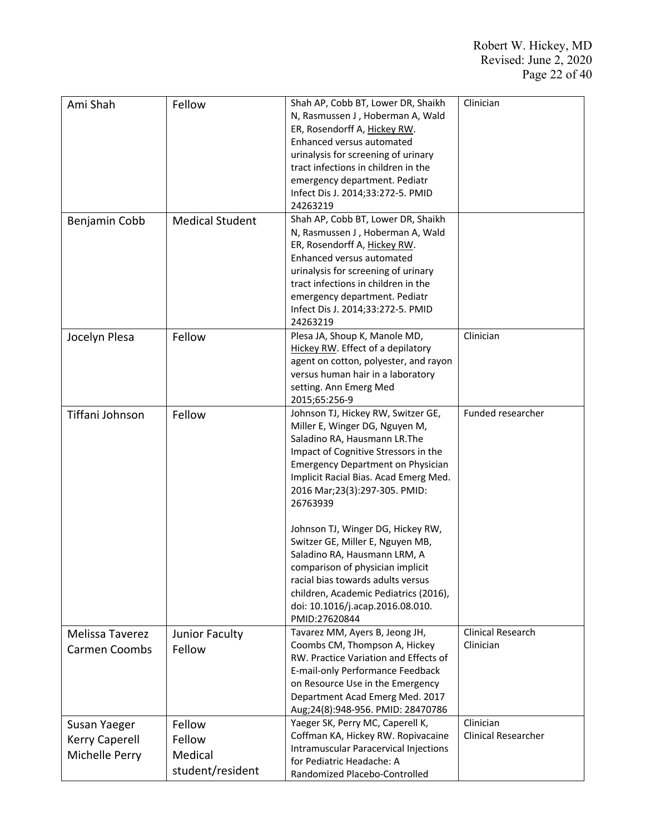| Ami Shah              | Fellow                 | Shah AP, Cobb BT, Lower DR, Shaikh                                    | Clinician                  |
|-----------------------|------------------------|-----------------------------------------------------------------------|----------------------------|
|                       |                        | N, Rasmussen J, Hoberman A, Wald                                      |                            |
|                       |                        | ER, Rosendorff A, Hickey RW.                                          |                            |
|                       |                        | Enhanced versus automated                                             |                            |
|                       |                        | urinalysis for screening of urinary                                   |                            |
|                       |                        | tract infections in children in the                                   |                            |
|                       |                        | emergency department. Pediatr                                         |                            |
|                       |                        | Infect Dis J. 2014;33:272-5. PMID                                     |                            |
|                       |                        | 24263219                                                              |                            |
|                       |                        | Shah AP, Cobb BT, Lower DR, Shaikh                                    |                            |
| Benjamin Cobb         | <b>Medical Student</b> | N, Rasmussen J, Hoberman A, Wald                                      |                            |
|                       |                        |                                                                       |                            |
|                       |                        | ER, Rosendorff A, Hickey RW.                                          |                            |
|                       |                        | Enhanced versus automated                                             |                            |
|                       |                        | urinalysis for screening of urinary                                   |                            |
|                       |                        | tract infections in children in the                                   |                            |
|                       |                        | emergency department. Pediatr                                         |                            |
|                       |                        | Infect Dis J. 2014;33:272-5. PMID                                     |                            |
|                       |                        | 24263219                                                              |                            |
| Jocelyn Plesa         | Fellow                 | Plesa JA, Shoup K, Manole MD,                                         | Clinician                  |
|                       |                        | Hickey RW. Effect of a depilatory                                     |                            |
|                       |                        | agent on cotton, polyester, and rayon                                 |                            |
|                       |                        | versus human hair in a laboratory                                     |                            |
|                       |                        | setting. Ann Emerg Med                                                |                            |
|                       |                        |                                                                       |                            |
|                       |                        | 2015;65:256-9                                                         |                            |
| Tiffani Johnson       | Fellow                 | Johnson TJ, Hickey RW, Switzer GE,                                    | Funded researcher          |
|                       |                        | Miller E, Winger DG, Nguyen M,                                        |                            |
|                       |                        | Saladino RA, Hausmann LR. The                                         |                            |
|                       |                        | Impact of Cognitive Stressors in the                                  |                            |
|                       |                        | <b>Emergency Department on Physician</b>                              |                            |
|                       |                        | Implicit Racial Bias. Acad Emerg Med.                                 |                            |
|                       |                        | 2016 Mar; 23(3): 297-305. PMID:                                       |                            |
|                       |                        | 26763939                                                              |                            |
|                       |                        |                                                                       |                            |
|                       |                        | Johnson TJ, Winger DG, Hickey RW,                                     |                            |
|                       |                        | Switzer GE, Miller E, Nguyen MB,                                      |                            |
|                       |                        | Saladino RA, Hausmann LRM, A                                          |                            |
|                       |                        |                                                                       |                            |
|                       |                        | comparison of physician implicit<br>racial bias towards adults versus |                            |
|                       |                        |                                                                       |                            |
|                       |                        | children, Academic Pediatrics (2016),                                 |                            |
|                       |                        | doi: 10.1016/j.acap.2016.08.010.                                      |                            |
|                       |                        | PMID:27620844                                                         |                            |
| Melissa Taverez       | Junior Faculty         | Tavarez MM, Ayers B, Jeong JH,                                        | Clinical Research          |
| <b>Carmen Coombs</b>  | Fellow                 | Coombs CM, Thompson A, Hickey                                         | Clinician                  |
|                       |                        | RW. Practice Variation and Effects of                                 |                            |
|                       |                        | E-mail-only Performance Feedback                                      |                            |
|                       |                        | on Resource Use in the Emergency                                      |                            |
|                       |                        | Department Acad Emerg Med. 2017                                       |                            |
|                       |                        | Aug;24(8):948-956. PMID: 28470786                                     |                            |
| Susan Yaeger          | Fellow                 | Yaeger SK, Perry MC, Caperell K,                                      | Clinician                  |
|                       |                        | Coffman KA, Hickey RW. Ropivacaine                                    | <b>Clinical Researcher</b> |
| <b>Kerry Caperell</b> | Fellow                 | Intramuscular Paracervical Injections                                 |                            |
| Michelle Perry        | Medical                |                                                                       |                            |
|                       | student/resident       | for Pediatric Headache: A                                             |                            |
|                       |                        | Randomized Placebo-Controlled                                         |                            |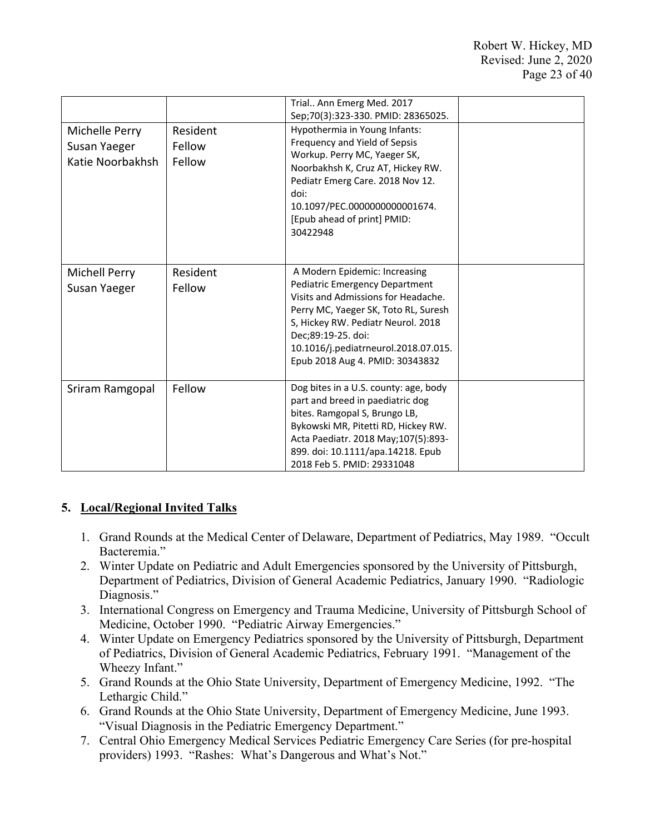|                                                    |                              | Trial Ann Emerg Med. 2017                                                                                                                                                                                                                                                                    |  |
|----------------------------------------------------|------------------------------|----------------------------------------------------------------------------------------------------------------------------------------------------------------------------------------------------------------------------------------------------------------------------------------------|--|
|                                                    |                              | Sep;70(3):323-330. PMID: 28365025.                                                                                                                                                                                                                                                           |  |
| Michelle Perry<br>Susan Yaeger<br>Katie Noorbakhsh | Resident<br>Fellow<br>Fellow | Hypothermia in Young Infants:<br>Frequency and Yield of Sepsis<br>Workup. Perry MC, Yaeger SK,<br>Noorbakhsh K, Cruz AT, Hickey RW.<br>Pediatr Emerg Care. 2018 Nov 12.<br>doi:<br>10.1097/PEC.0000000000001674.<br>[Epub ahead of print] PMID:<br>30422948                                  |  |
| Michell Perry<br>Susan Yaeger                      | Resident<br>Fellow           | A Modern Epidemic: Increasing<br><b>Pediatric Emergency Department</b><br>Visits and Admissions for Headache.<br>Perry MC, Yaeger SK, Toto RL, Suresh<br>S, Hickey RW. Pediatr Neurol. 2018<br>Dec;89:19-25. doi:<br>10.1016/j.pediatrneurol.2018.07.015.<br>Epub 2018 Aug 4. PMID: 30343832 |  |
| Sriram Ramgopal                                    | Fellow                       | Dog bites in a U.S. county: age, body<br>part and breed in paediatric dog<br>bites. Ramgopal S, Brungo LB,<br>Bykowski MR, Pitetti RD, Hickey RW.<br>Acta Paediatr. 2018 May; 107(5):893-<br>899. doi: 10.1111/apa.14218. Epub<br>2018 Feb 5. PMID: 29331048                                 |  |

# **5. Local/Regional Invited Talks**

- 1. Grand Rounds at the Medical Center of Delaware, Department of Pediatrics, May 1989. "Occult Bacteremia."
- 2. Winter Update on Pediatric and Adult Emergencies sponsored by the University of Pittsburgh, Department of Pediatrics, Division of General Academic Pediatrics, January 1990. "Radiologic Diagnosis."
- 3. International Congress on Emergency and Trauma Medicine, University of Pittsburgh School of Medicine, October 1990. "Pediatric Airway Emergencies."
- 4. Winter Update on Emergency Pediatrics sponsored by the University of Pittsburgh, Department of Pediatrics, Division of General Academic Pediatrics, February 1991. "Management of the Wheezy Infant."
- 5. Grand Rounds at the Ohio State University, Department of Emergency Medicine, 1992. "The Lethargic Child."
- 6. Grand Rounds at the Ohio State University, Department of Emergency Medicine, June 1993. "Visual Diagnosis in the Pediatric Emergency Department."
- 7. Central Ohio Emergency Medical Services Pediatric Emergency Care Series (for pre-hospital providers) 1993. "Rashes: What's Dangerous and What's Not."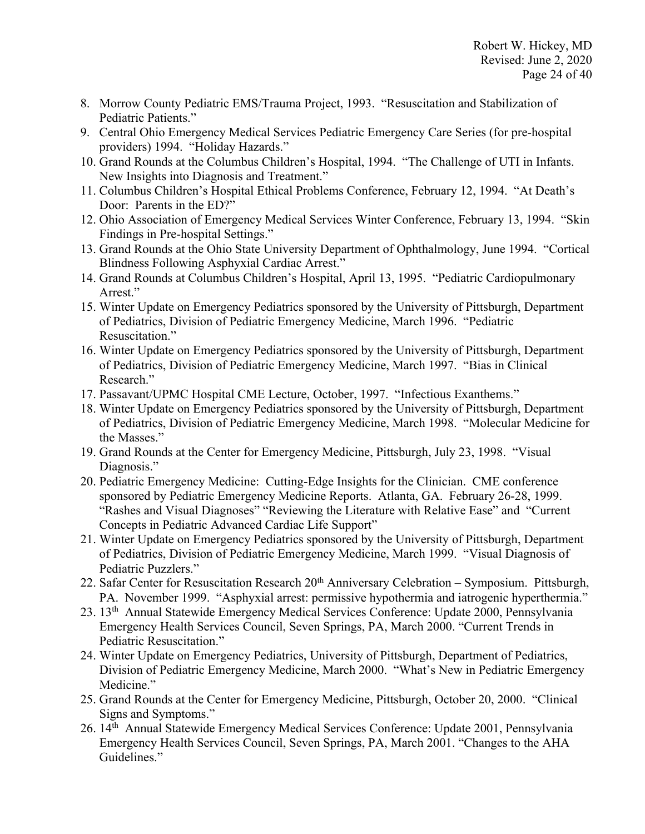- 8. Morrow County Pediatric EMS/Trauma Project, 1993. "Resuscitation and Stabilization of Pediatric Patients."
- 9. Central Ohio Emergency Medical Services Pediatric Emergency Care Series (for pre-hospital providers) 1994. "Holiday Hazards."
- 10. Grand Rounds at the Columbus Children's Hospital, 1994. "The Challenge of UTI in Infants. New Insights into Diagnosis and Treatment."
- 11. Columbus Children's Hospital Ethical Problems Conference, February 12, 1994. "At Death's Door: Parents in the ED?"
- 12. Ohio Association of Emergency Medical Services Winter Conference, February 13, 1994. "Skin Findings in Pre-hospital Settings."
- 13. Grand Rounds at the Ohio State University Department of Ophthalmology, June 1994. "Cortical Blindness Following Asphyxial Cardiac Arrest."
- 14. Grand Rounds at Columbus Children's Hospital, April 13, 1995. "Pediatric Cardiopulmonary Arrest."
- 15. Winter Update on Emergency Pediatrics sponsored by the University of Pittsburgh, Department of Pediatrics, Division of Pediatric Emergency Medicine, March 1996. "Pediatric Resuscitation."
- 16. Winter Update on Emergency Pediatrics sponsored by the University of Pittsburgh, Department of Pediatrics, Division of Pediatric Emergency Medicine, March 1997. "Bias in Clinical Research."
- 17. Passavant/UPMC Hospital CME Lecture, October, 1997. "Infectious Exanthems."
- 18. Winter Update on Emergency Pediatrics sponsored by the University of Pittsburgh, Department of Pediatrics, Division of Pediatric Emergency Medicine, March 1998. "Molecular Medicine for the Masses."
- 19. Grand Rounds at the Center for Emergency Medicine, Pittsburgh, July 23, 1998. "Visual Diagnosis."
- 20. Pediatric Emergency Medicine: Cutting-Edge Insights for the Clinician. CME conference sponsored by Pediatric Emergency Medicine Reports. Atlanta, GA. February 26-28, 1999. "Rashes and Visual Diagnoses" "Reviewing the Literature with Relative Ease" and "Current Concepts in Pediatric Advanced Cardiac Life Support"
- 21. Winter Update on Emergency Pediatrics sponsored by the University of Pittsburgh, Department of Pediatrics, Division of Pediatric Emergency Medicine, March 1999. "Visual Diagnosis of Pediatric Puzzlers."
- 22. Safar Center for Resuscitation Research 20<sup>th</sup> Anniversary Celebration Symposium. Pittsburgh, PA. November 1999. "Asphyxial arrest: permissive hypothermia and iatrogenic hyperthermia."
- 23. 13th Annual Statewide Emergency Medical Services Conference: Update 2000, Pennsylvania Emergency Health Services Council, Seven Springs, PA, March 2000. "Current Trends in Pediatric Resuscitation."
- 24. Winter Update on Emergency Pediatrics, University of Pittsburgh, Department of Pediatrics, Division of Pediatric Emergency Medicine, March 2000. "What's New in Pediatric Emergency Medicine."
- 25. Grand Rounds at the Center for Emergency Medicine, Pittsburgh, October 20, 2000. "Clinical Signs and Symptoms."
- 26. 14<sup>th</sup> Annual Statewide Emergency Medical Services Conference: Update 2001, Pennsylvania Emergency Health Services Council, Seven Springs, PA, March 2001. "Changes to the AHA Guidelines."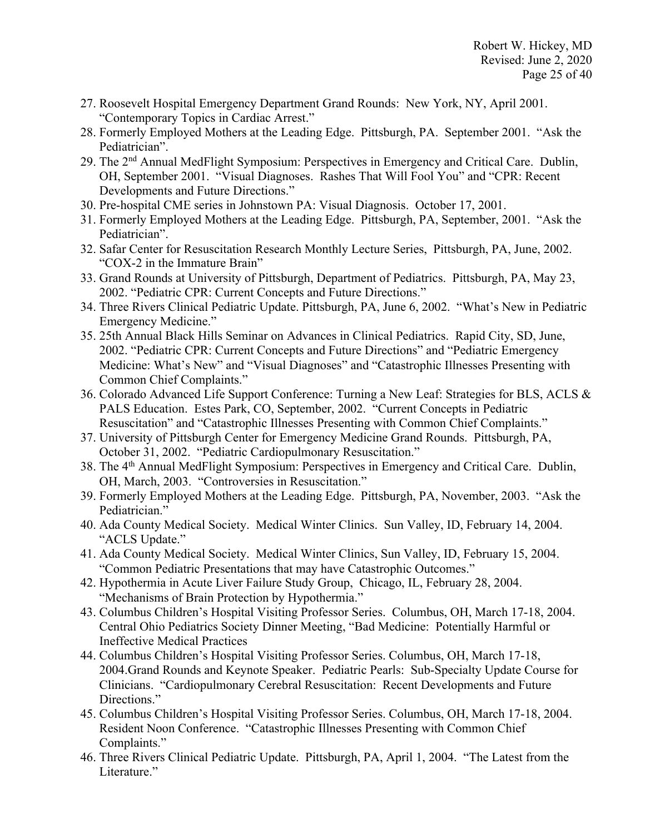- 27. Roosevelt Hospital Emergency Department Grand Rounds: New York, NY, April 2001. "Contemporary Topics in Cardiac Arrest."
- 28. Formerly Employed Mothers at the Leading Edge. Pittsburgh, PA. September 2001. "Ask the Pediatrician".
- 29. The 2nd Annual MedFlight Symposium: Perspectives in Emergency and Critical Care. Dublin, OH, September 2001. "Visual Diagnoses. Rashes That Will Fool You" and "CPR: Recent Developments and Future Directions."
- 30. Pre-hospital CME series in Johnstown PA: Visual Diagnosis. October 17, 2001.
- 31. Formerly Employed Mothers at the Leading Edge. Pittsburgh, PA, September, 2001. "Ask the Pediatrician".
- 32. Safar Center for Resuscitation Research Monthly Lecture Series, Pittsburgh, PA, June, 2002. "COX-2 in the Immature Brain"
- 33. Grand Rounds at University of Pittsburgh, Department of Pediatrics. Pittsburgh, PA, May 23, 2002. "Pediatric CPR: Current Concepts and Future Directions."
- 34. Three Rivers Clinical Pediatric Update. Pittsburgh, PA, June 6, 2002. "What's New in Pediatric Emergency Medicine."
- 35. 25th Annual Black Hills Seminar on Advances in Clinical Pediatrics. Rapid City, SD, June, 2002. "Pediatric CPR: Current Concepts and Future Directions" and "Pediatric Emergency Medicine: What's New" and "Visual Diagnoses" and "Catastrophic Illnesses Presenting with Common Chief Complaints."
- 36. Colorado Advanced Life Support Conference: Turning a New Leaf: Strategies for BLS, ACLS & PALS Education. Estes Park, CO, September, 2002. "Current Concepts in Pediatric Resuscitation" and "Catastrophic Illnesses Presenting with Common Chief Complaints."
- 37. University of Pittsburgh Center for Emergency Medicine Grand Rounds. Pittsburgh, PA, October 31, 2002. "Pediatric Cardiopulmonary Resuscitation."
- 38. The 4th Annual MedFlight Symposium: Perspectives in Emergency and Critical Care. Dublin, OH, March, 2003. "Controversies in Resuscitation."
- 39. Formerly Employed Mothers at the Leading Edge. Pittsburgh, PA, November, 2003. "Ask the Pediatrician."
- 40. Ada County Medical Society. Medical Winter Clinics. Sun Valley, ID, February 14, 2004. "ACLS Update."
- 41. Ada County Medical Society. Medical Winter Clinics, Sun Valley, ID, February 15, 2004. "Common Pediatric Presentations that may have Catastrophic Outcomes."
- 42. Hypothermia in Acute Liver Failure Study Group, Chicago, IL, February 28, 2004. "Mechanisms of Brain Protection by Hypothermia."
- 43. Columbus Children's Hospital Visiting Professor Series. Columbus, OH, March 17-18, 2004. Central Ohio Pediatrics Society Dinner Meeting, "Bad Medicine: Potentially Harmful or Ineffective Medical Practices
- 44. Columbus Children's Hospital Visiting Professor Series. Columbus, OH, March 17-18, 2004.Grand Rounds and Keynote Speaker. Pediatric Pearls: Sub-Specialty Update Course for Clinicians. "Cardiopulmonary Cerebral Resuscitation: Recent Developments and Future Directions."
- 45. Columbus Children's Hospital Visiting Professor Series. Columbus, OH, March 17-18, 2004. Resident Noon Conference. "Catastrophic Illnesses Presenting with Common Chief Complaints."
- 46. Three Rivers Clinical Pediatric Update. Pittsburgh, PA, April 1, 2004. "The Latest from the Literature."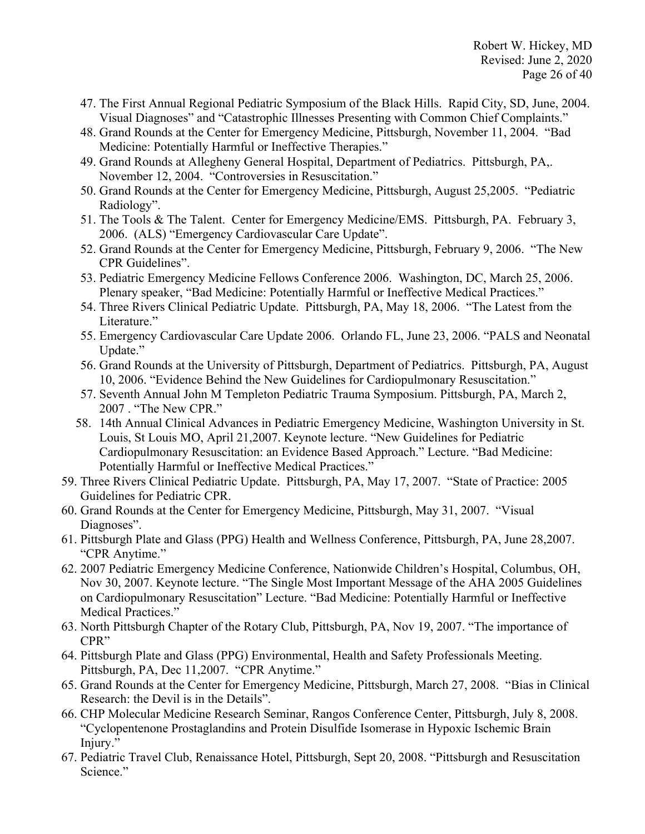- 47. The First Annual Regional Pediatric Symposium of the Black Hills. Rapid City, SD, June, 2004. Visual Diagnoses" and "Catastrophic Illnesses Presenting with Common Chief Complaints."
- 48. Grand Rounds at the Center for Emergency Medicine, Pittsburgh, November 11, 2004. "Bad Medicine: Potentially Harmful or Ineffective Therapies."
- 49. Grand Rounds at Allegheny General Hospital, Department of Pediatrics. Pittsburgh, PA,. November 12, 2004. "Controversies in Resuscitation."
- 50. Grand Rounds at the Center for Emergency Medicine, Pittsburgh, August 25,2005. "Pediatric Radiology".
- 51. The Tools & The Talent. Center for Emergency Medicine/EMS. Pittsburgh, PA. February 3, 2006. (ALS) "Emergency Cardiovascular Care Update".
- 52. Grand Rounds at the Center for Emergency Medicine, Pittsburgh, February 9, 2006. "The New CPR Guidelines".
- 53. Pediatric Emergency Medicine Fellows Conference 2006. Washington, DC, March 25, 2006. Plenary speaker, "Bad Medicine: Potentially Harmful or Ineffective Medical Practices."
- 54. Three Rivers Clinical Pediatric Update. Pittsburgh, PA, May 18, 2006. "The Latest from the Literature."
- 55. Emergency Cardiovascular Care Update 2006. Orlando FL, June 23, 2006. "PALS and Neonatal Update."
- 56. Grand Rounds at the University of Pittsburgh, Department of Pediatrics. Pittsburgh, PA, August 10, 2006. "Evidence Behind the New Guidelines for Cardiopulmonary Resuscitation."
- 57. Seventh Annual John M Templeton Pediatric Trauma Symposium. Pittsburgh, PA, March 2, 2007 . "The New CPR."
- 58. 14th Annual Clinical Advances in Pediatric Emergency Medicine, Washington University in St. Louis, St Louis MO, April 21,2007. Keynote lecture. "New Guidelines for Pediatric Cardiopulmonary Resuscitation: an Evidence Based Approach." Lecture. "Bad Medicine: Potentially Harmful or Ineffective Medical Practices."
- 59. Three Rivers Clinical Pediatric Update. Pittsburgh, PA, May 17, 2007. "State of Practice: 2005 Guidelines for Pediatric CPR.
- 60. Grand Rounds at the Center for Emergency Medicine, Pittsburgh, May 31, 2007. "Visual Diagnoses".
- 61. Pittsburgh Plate and Glass (PPG) Health and Wellness Conference, Pittsburgh, PA, June 28,2007. "CPR Anytime."
- 62. 2007 Pediatric Emergency Medicine Conference, Nationwide Children's Hospital, Columbus, OH, Nov 30, 2007. Keynote lecture. "The Single Most Important Message of the AHA 2005 Guidelines on Cardiopulmonary Resuscitation" Lecture. "Bad Medicine: Potentially Harmful or Ineffective Medical Practices."
- 63. North Pittsburgh Chapter of the Rotary Club, Pittsburgh, PA, Nov 19, 2007. "The importance of CPR"
- 64. Pittsburgh Plate and Glass (PPG) Environmental, Health and Safety Professionals Meeting. Pittsburgh, PA, Dec 11,2007. "CPR Anytime."
- 65. Grand Rounds at the Center for Emergency Medicine, Pittsburgh, March 27, 2008. "Bias in Clinical Research: the Devil is in the Details".
- 66. CHP Molecular Medicine Research Seminar, Rangos Conference Center, Pittsburgh, July 8, 2008. "Cyclopentenone Prostaglandins and Protein Disulfide Isomerase in Hypoxic Ischemic Brain Injury."
- 67. Pediatric Travel Club, Renaissance Hotel, Pittsburgh, Sept 20, 2008. "Pittsburgh and Resuscitation Science."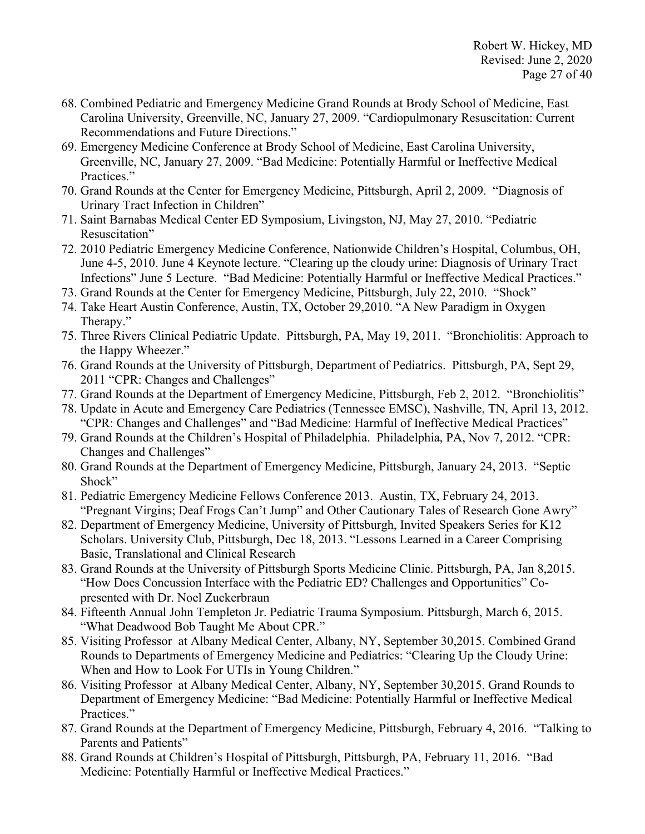- 68. Combined Pediatric and Emergency Medicine Grand Rounds at Brody School of Medicine, East Carolina University, Greenville, NC, January 27, 2009. "Cardiopulmonary Resuscitation: Current Recommendations and Future Directions."
- 69. Emergency Medicine Conference at Brody School of Medicine, East Carolina University, Greenville, NC, January 27, 2009. "Bad Medicine: Potentially Harmful or Ineffective Medical Practices."
- 70. Grand Rounds at the Center for Emergency Medicine, Pittsburgh, April 2, 2009. "Diagnosis of Urinary Tract Infection in Children"
- 71. Saint Barnabas Medical Center ED Symposium, Livingston, NJ, May 27, 2010. "Pediatric Resuscitation"
- 72. 2010 Pediatric Emergency Medicine Conference, Nationwide Children's Hospital, Columbus, OH, June 4-5, 2010. June 4 Keynote lecture. "Clearing up the cloudy urine: Diagnosis of Urinary Tract Infections" June 5 Lecture. "Bad Medicine: Potentially Harmful or Ineffective Medical Practices."
- 73. Grand Rounds at the Center for Emergency Medicine, Pittsburgh, July 22, 2010. "Shock"
- 74. Take Heart Austin Conference, Austin, TX, October 29,2010. "A New Paradigm in Oxygen Therapy."
- 75. Three Rivers Clinical Pediatric Update. Pittsburgh, PA, May 19, 2011. "Bronchiolitis: Approach to the Happy Wheezer."
- 76. Grand Rounds at the University of Pittsburgh, Department of Pediatrics. Pittsburgh, PA, Sept 29, 2011 "CPR: Changes and Challenges"
- 77. Grand Rounds at the Department of Emergency Medicine, Pittsburgh, Feb 2, 2012. "Bronchiolitis"
- 78. Update in Acute and Emergency Care Pediatrics (Tennessee EMSC), Nashville, TN, April 13, 2012. "CPR: Changes and Challenges" and "Bad Medicine: Harmful of Ineffective Medical Practices"
- 79. Grand Rounds at the Children's Hospital of Philadelphia. Philadelphia, PA, Nov 7, 2012. "CPR: Changes and Challenges"
- 80. Grand Rounds at the Department of Emergency Medicine, Pittsburgh, January 24, 2013. "Septic Shock"
- 81. Pediatric Emergency Medicine Fellows Conference 2013. Austin, TX, February 24, 2013. "Pregnant Virgins; Deaf Frogs Can't Jump" and Other Cautionary Tales of Research Gone Awry"
- 82. Department of Emergency Medicine, University of Pittsburgh, Invited Speakers Series for K12 Scholars. University Club, Pittsburgh, Dec 18, 2013. "Lessons Learned in a Career Comprising Basic, Translational and Clinical Research
- 83. Grand Rounds at the University of Pittsburgh Sports Medicine Clinic. Pittsburgh, PA, Jan 8,2015. "How Does Concussion Interface with the Pediatric ED? Challenges and Opportunities" Copresented with Dr. Noel Zuckerbraun
- 84. Fifteenth Annual John Templeton Jr. Pediatric Trauma Symposium. Pittsburgh, March 6, 2015. "What Deadwood Bob Taught Me About CPR."
- 85. Visiting Professor at Albany Medical Center, Albany, NY, September 30,2015. Combined Grand Rounds to Departments of Emergency Medicine and Pediatrics: "Clearing Up the Cloudy Urine: When and How to Look For UTIs in Young Children."
- 86. Visiting Professor at Albany Medical Center, Albany, NY, September 30,2015. Grand Rounds to Department of Emergency Medicine: "Bad Medicine: Potentially Harmful or Ineffective Medical Practices."
- 87. Grand Rounds at the Department of Emergency Medicine, Pittsburgh, February 4, 2016. "Talking to Parents and Patients"
- 88. Grand Rounds at Children's Hospital of Pittsburgh, Pittsburgh, PA, February 11, 2016. "Bad Medicine: Potentially Harmful or Ineffective Medical Practices."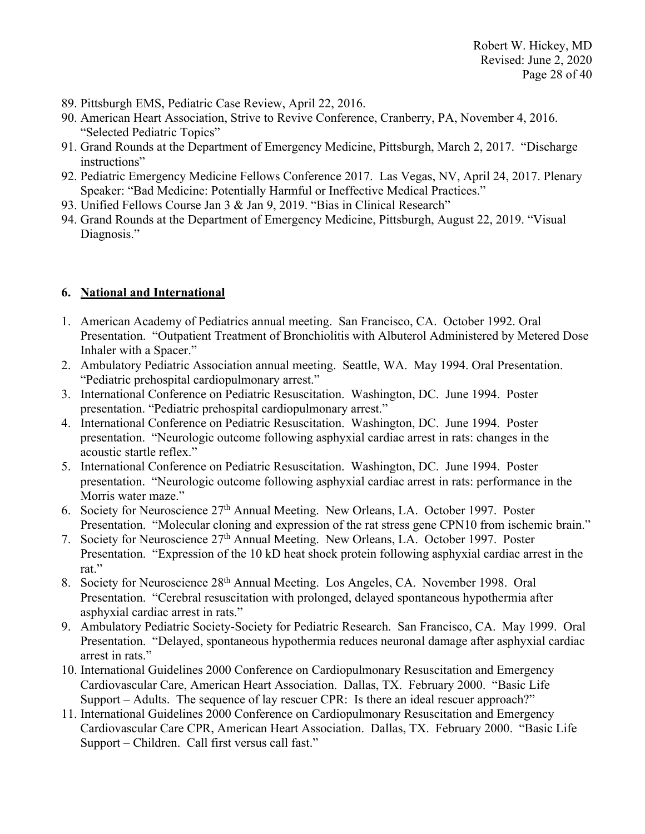- 89. Pittsburgh EMS, Pediatric Case Review, April 22, 2016.
- 90. American Heart Association, Strive to Revive Conference, Cranberry, PA, November 4, 2016. "Selected Pediatric Topics"
- 91. Grand Rounds at the Department of Emergency Medicine, Pittsburgh, March 2, 2017. "Discharge instructions"
- 92. Pediatric Emergency Medicine Fellows Conference 2017. Las Vegas, NV, April 24, 2017. Plenary Speaker: "Bad Medicine: Potentially Harmful or Ineffective Medical Practices."
- 93. Unified Fellows Course Jan 3 & Jan 9, 2019. "Bias in Clinical Research"
- 94. Grand Rounds at the Department of Emergency Medicine, Pittsburgh, August 22, 2019. "Visual Diagnosis."

# **6. National and International**

- 1. American Academy of Pediatrics annual meeting. San Francisco, CA. October 1992. Oral Presentation. "Outpatient Treatment of Bronchiolitis with Albuterol Administered by Metered Dose Inhaler with a Spacer."
- 2. Ambulatory Pediatric Association annual meeting. Seattle, WA. May 1994. Oral Presentation. "Pediatric prehospital cardiopulmonary arrest."
- 3. International Conference on Pediatric Resuscitation. Washington, DC. June 1994. Poster presentation. "Pediatric prehospital cardiopulmonary arrest."
- 4. International Conference on Pediatric Resuscitation. Washington, DC. June 1994. Poster presentation. "Neurologic outcome following asphyxial cardiac arrest in rats: changes in the acoustic startle reflex."
- 5. International Conference on Pediatric Resuscitation. Washington, DC. June 1994. Poster presentation. "Neurologic outcome following asphyxial cardiac arrest in rats: performance in the Morris water maze."
- 6. Society for Neuroscience 27th Annual Meeting. New Orleans, LA. October 1997. Poster Presentation. "Molecular cloning and expression of the rat stress gene CPN10 from ischemic brain."
- 7. Society for Neuroscience 27th Annual Meeting. New Orleans, LA. October 1997. Poster Presentation. "Expression of the 10 kD heat shock protein following asphyxial cardiac arrest in the rat."
- 8. Society for Neuroscience 28th Annual Meeting. Los Angeles, CA. November 1998. Oral Presentation. "Cerebral resuscitation with prolonged, delayed spontaneous hypothermia after asphyxial cardiac arrest in rats."
- 9. Ambulatory Pediatric Society-Society for Pediatric Research. San Francisco, CA. May 1999. Oral Presentation. "Delayed, spontaneous hypothermia reduces neuronal damage after asphyxial cardiac arrest in rats."
- 10. International Guidelines 2000 Conference on Cardiopulmonary Resuscitation and Emergency Cardiovascular Care, American Heart Association. Dallas, TX. February 2000. "Basic Life Support – Adults. The sequence of lay rescuer CPR: Is there an ideal rescuer approach?"
- 11. International Guidelines 2000 Conference on Cardiopulmonary Resuscitation and Emergency Cardiovascular Care CPR, American Heart Association. Dallas, TX. February 2000. "Basic Life Support – Children. Call first versus call fast."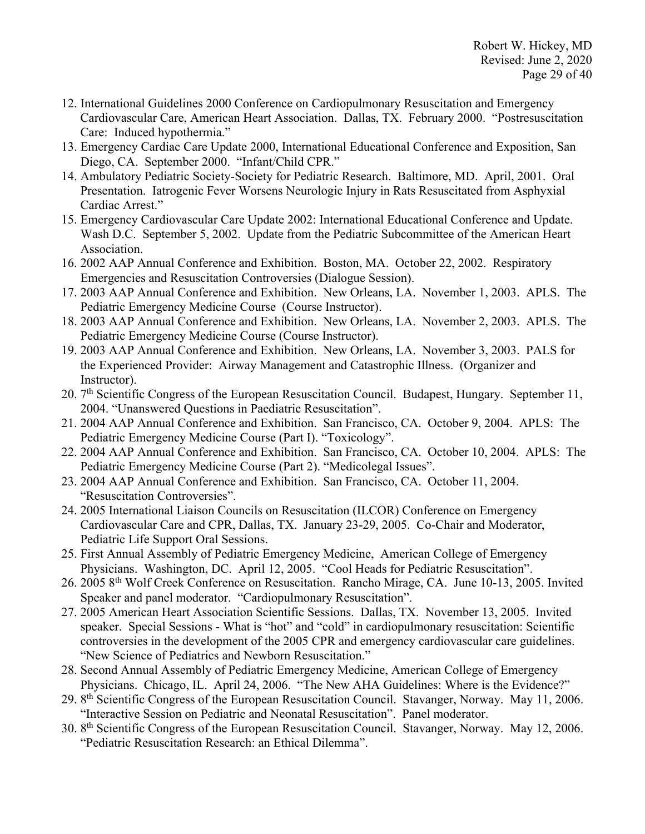- 12. International Guidelines 2000 Conference on Cardiopulmonary Resuscitation and Emergency Cardiovascular Care, American Heart Association. Dallas, TX. February 2000. "Postresuscitation Care: Induced hypothermia."
- 13. Emergency Cardiac Care Update 2000, International Educational Conference and Exposition, San Diego, CA. September 2000. "Infant/Child CPR."
- 14. Ambulatory Pediatric Society-Society for Pediatric Research. Baltimore, MD. April, 2001. Oral Presentation. Iatrogenic Fever Worsens Neurologic Injury in Rats Resuscitated from Asphyxial Cardiac Arrest."
- 15. Emergency Cardiovascular Care Update 2002: International Educational Conference and Update. Wash D.C. September 5, 2002. Update from the Pediatric Subcommittee of the American Heart Association.
- 16. 2002 AAP Annual Conference and Exhibition. Boston, MA. October 22, 2002. Respiratory Emergencies and Resuscitation Controversies (Dialogue Session).
- 17. 2003 AAP Annual Conference and Exhibition. New Orleans, LA. November 1, 2003. APLS. The Pediatric Emergency Medicine Course (Course Instructor).
- 18. 2003 AAP Annual Conference and Exhibition. New Orleans, LA. November 2, 2003. APLS. The Pediatric Emergency Medicine Course (Course Instructor).
- 19. 2003 AAP Annual Conference and Exhibition. New Orleans, LA. November 3, 2003. PALS for the Experienced Provider: Airway Management and Catastrophic Illness. (Organizer and Instructor).
- 20. 7<sup>th</sup> Scientific Congress of the European Resuscitation Council. Budapest, Hungary. September 11, 2004. "Unanswered Questions in Paediatric Resuscitation".
- 21. 2004 AAP Annual Conference and Exhibition. San Francisco, CA. October 9, 2004. APLS: The Pediatric Emergency Medicine Course (Part I). "Toxicology".
- 22. 2004 AAP Annual Conference and Exhibition. San Francisco, CA. October 10, 2004. APLS: The Pediatric Emergency Medicine Course (Part 2). "Medicolegal Issues".
- 23. 2004 AAP Annual Conference and Exhibition. San Francisco, CA. October 11, 2004. "Resuscitation Controversies".
- 24. 2005 International Liaison Councils on Resuscitation (ILCOR) Conference on Emergency Cardiovascular Care and CPR, Dallas, TX. January 23-29, 2005. Co-Chair and Moderator, Pediatric Life Support Oral Sessions.
- 25. First Annual Assembly of Pediatric Emergency Medicine, American College of Emergency Physicians. Washington, DC. April 12, 2005. "Cool Heads for Pediatric Resuscitation".
- 26. 2005 8th Wolf Creek Conference on Resuscitation. Rancho Mirage, CA. June 10-13, 2005. Invited Speaker and panel moderator. "Cardiopulmonary Resuscitation".
- 27. 2005 American Heart Association Scientific Sessions. Dallas, TX. November 13, 2005. Invited speaker. Special Sessions - What is "hot" and "cold" in cardiopulmonary resuscitation: Scientific controversies in the development of the 2005 CPR and emergency cardiovascular care guidelines. "New Science of Pediatrics and Newborn Resuscitation."
- 28. Second Annual Assembly of Pediatric Emergency Medicine, American College of Emergency Physicians. Chicago, IL. April 24, 2006. "The New AHA Guidelines: Where is the Evidence?"
- 29. 8th Scientific Congress of the European Resuscitation Council. Stavanger, Norway. May 11, 2006. "Interactive Session on Pediatric and Neonatal Resuscitation". Panel moderator.
- 30. 8th Scientific Congress of the European Resuscitation Council. Stavanger, Norway. May 12, 2006. "Pediatric Resuscitation Research: an Ethical Dilemma".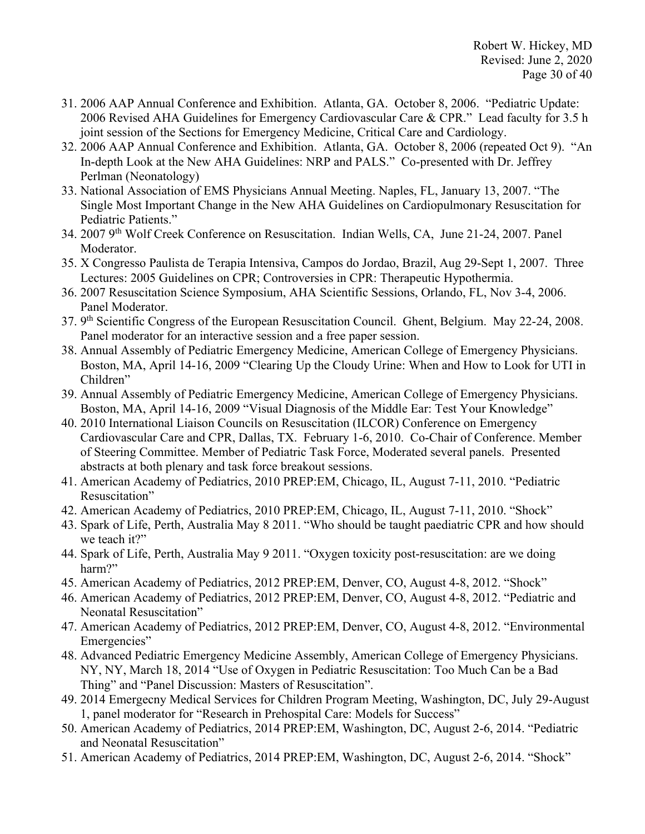- 31. 2006 AAP Annual Conference and Exhibition. Atlanta, GA. October 8, 2006. "Pediatric Update: 2006 Revised AHA Guidelines for Emergency Cardiovascular Care & CPR." Lead faculty for 3.5 h joint session of the Sections for Emergency Medicine, Critical Care and Cardiology.
- 32. 2006 AAP Annual Conference and Exhibition. Atlanta, GA. October 8, 2006 (repeated Oct 9). "An In-depth Look at the New AHA Guidelines: NRP and PALS." Co-presented with Dr. Jeffrey Perlman (Neonatology)
- 33. National Association of EMS Physicians Annual Meeting. Naples, FL, January 13, 2007. "The Single Most Important Change in the New AHA Guidelines on Cardiopulmonary Resuscitation for Pediatric Patients."
- 34. 2007 9th Wolf Creek Conference on Resuscitation. Indian Wells, CA, June 21-24, 2007. Panel Moderator.
- 35. X Congresso Paulista de Terapia Intensiva, Campos do Jordao, Brazil, Aug 29-Sept 1, 2007. Three Lectures: 2005 Guidelines on CPR; Controversies in CPR: Therapeutic Hypothermia.
- 36. 2007 Resuscitation Science Symposium, AHA Scientific Sessions, Orlando, FL, Nov 3-4, 2006. Panel Moderator.
- 37. 9th Scientific Congress of the European Resuscitation Council. Ghent, Belgium. May 22-24, 2008. Panel moderator for an interactive session and a free paper session.
- 38. Annual Assembly of Pediatric Emergency Medicine, American College of Emergency Physicians. Boston, MA, April 14-16, 2009 "Clearing Up the Cloudy Urine: When and How to Look for UTI in Children"
- 39. Annual Assembly of Pediatric Emergency Medicine, American College of Emergency Physicians. Boston, MA, April 14-16, 2009 "Visual Diagnosis of the Middle Ear: Test Your Knowledge"
- 40. 2010 International Liaison Councils on Resuscitation (ILCOR) Conference on Emergency Cardiovascular Care and CPR, Dallas, TX. February 1-6, 2010. Co-Chair of Conference. Member of Steering Committee. Member of Pediatric Task Force, Moderated several panels. Presented abstracts at both plenary and task force breakout sessions.
- 41. American Academy of Pediatrics, 2010 PREP:EM, Chicago, IL, August 7-11, 2010. "Pediatric Resuscitation"
- 42. American Academy of Pediatrics, 2010 PREP:EM, Chicago, IL, August 7-11, 2010. "Shock"
- 43. Spark of Life, Perth, Australia May 8 2011. "Who should be taught paediatric CPR and how should we teach it?"
- 44. Spark of Life, Perth, Australia May 9 2011. "Oxygen toxicity post-resuscitation: are we doing harm?"
- 45. American Academy of Pediatrics, 2012 PREP:EM, Denver, CO, August 4-8, 2012. "Shock"
- 46. American Academy of Pediatrics, 2012 PREP:EM, Denver, CO, August 4-8, 2012. "Pediatric and Neonatal Resuscitation"
- 47. American Academy of Pediatrics, 2012 PREP:EM, Denver, CO, August 4-8, 2012. "Environmental Emergencies"
- 48. Advanced Pediatric Emergency Medicine Assembly, American College of Emergency Physicians. NY, NY, March 18, 2014 "Use of Oxygen in Pediatric Resuscitation: Too Much Can be a Bad Thing" and "Panel Discussion: Masters of Resuscitation".
- 49. 2014 Emergecny Medical Services for Children Program Meeting, Washington, DC, July 29-August 1, panel moderator for "Research in Prehospital Care: Models for Success"
- 50. American Academy of Pediatrics, 2014 PREP:EM, Washington, DC, August 2-6, 2014. "Pediatric and Neonatal Resuscitation"
- 51. American Academy of Pediatrics, 2014 PREP:EM, Washington, DC, August 2-6, 2014. "Shock"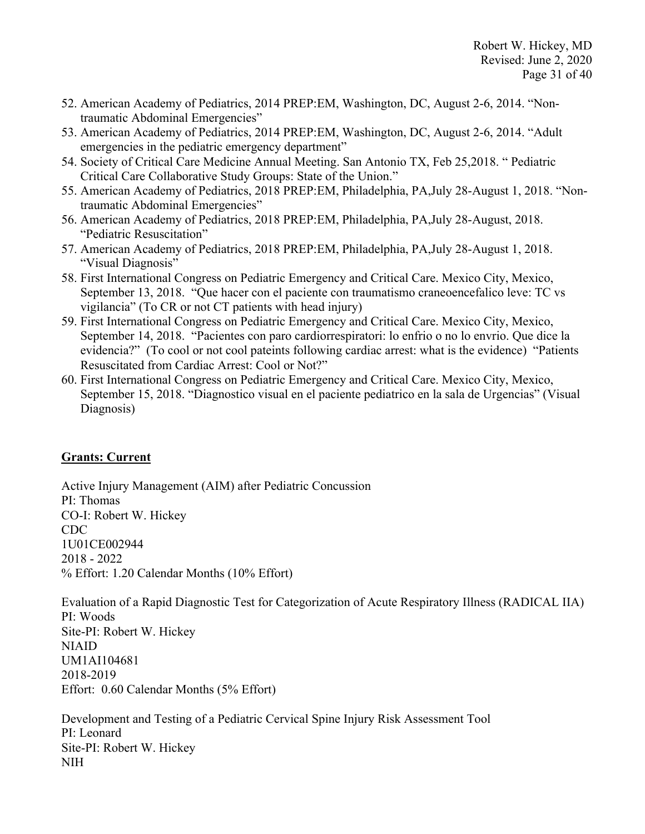- 52. American Academy of Pediatrics, 2014 PREP:EM, Washington, DC, August 2-6, 2014. "Nontraumatic Abdominal Emergencies"
- 53. American Academy of Pediatrics, 2014 PREP:EM, Washington, DC, August 2-6, 2014. "Adult emergencies in the pediatric emergency department"
- 54. Society of Critical Care Medicine Annual Meeting. San Antonio TX, Feb 25,2018. " Pediatric Critical Care Collaborative Study Groups: State of the Union."
- 55. American Academy of Pediatrics, 2018 PREP:EM, Philadelphia, PA,July 28-August 1, 2018. "Nontraumatic Abdominal Emergencies"
- 56. American Academy of Pediatrics, 2018 PREP:EM, Philadelphia, PA,July 28-August, 2018. "Pediatric Resuscitation"
- 57. American Academy of Pediatrics, 2018 PREP:EM, Philadelphia, PA,July 28-August 1, 2018. "Visual Diagnosis"
- 58. First International Congress on Pediatric Emergency and Critical Care. Mexico City, Mexico, September 13, 2018. "Que hacer con el paciente con traumatismo craneoencefalico leve: TC vs vigilancia" (To CR or not CT patients with head injury)
- 59. First International Congress on Pediatric Emergency and Critical Care. Mexico City, Mexico, September 14, 2018. "Pacientes con paro cardiorrespiratori: lo enfrio o no lo envrio. Que dice la evidencia?" (To cool or not cool pateints following cardiac arrest: what is the evidence) "Patients Resuscitated from Cardiac Arrest: Cool or Not?"
- 60. First International Congress on Pediatric Emergency and Critical Care. Mexico City, Mexico, September 15, 2018. "Diagnostico visual en el paciente pediatrico en la sala de Urgencias" (Visual Diagnosis)

# **Grants: Current**

Active Injury Management (AIM) after Pediatric Concussion PI: Thomas CO-I: Robert W. Hickey CDC 1U01CE002944 2018 - 2022 % Effort: 1.20 Calendar Months (10% Effort)

Evaluation of a Rapid Diagnostic Test for Categorization of Acute Respiratory Illness (RADICAL IIA) PI: Woods Site-PI: Robert W. Hickey NIAID UM1AI104681 2018-2019 Effort: 0.60 Calendar Months (5% Effort)

Development and Testing of a Pediatric Cervical Spine Injury Risk Assessment Tool PI: Leonard Site-PI: Robert W. Hickey NIH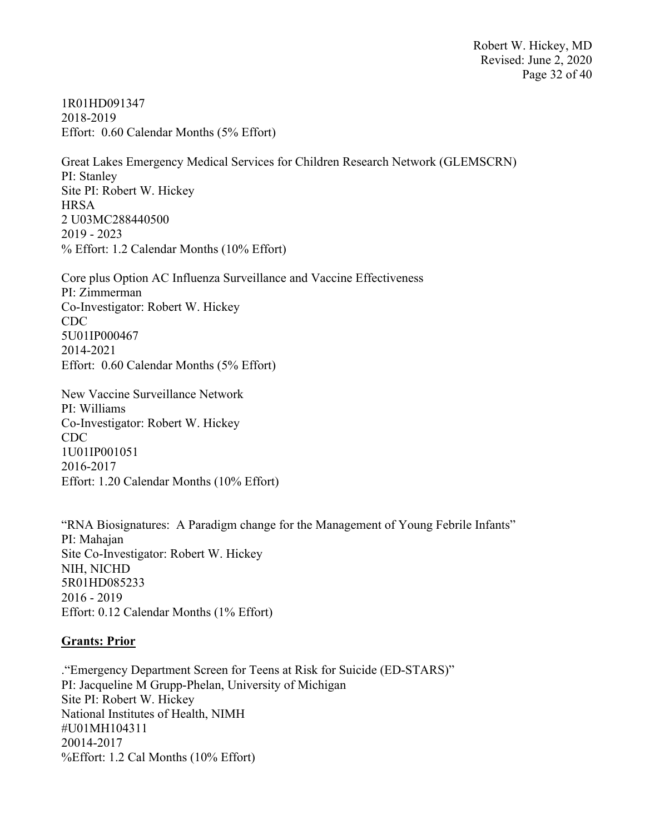Robert W. Hickey, MD Revised: June 2, 2020 Page 32 of 40

1R01HD091347 2018-2019 Effort: 0.60 Calendar Months (5% Effort)

Great Lakes Emergency Medical Services for Children Research Network (GLEMSCRN) PI: Stanley Site PI: Robert W. Hickey **HRSA** 2 U03MC288440500 2019 - 2023 % Effort: 1.2 Calendar Months (10% Effort)

Core plus Option AC Influenza Surveillance and Vaccine Effectiveness PI: Zimmerman Co-Investigator: Robert W. Hickey CDC 5U01IP000467 2014-2021 Effort: 0.60 Calendar Months (5% Effort)

New Vaccine Surveillance Network PI: Williams Co-Investigator: Robert W. Hickey CDC 1U01IP001051 2016-2017 Effort: 1.20 Calendar Months (10% Effort)

"RNA Biosignatures: A Paradigm change for the Management of Young Febrile Infants" PI: Mahajan Site Co-Investigator: Robert W. Hickey NIH, NICHD 5R01HD085233 2016 - 2019 Effort: 0.12 Calendar Months (1% Effort)

#### **Grants: Prior**

."Emergency Department Screen for Teens at Risk for Suicide (ED-STARS)" PI: Jacqueline M Grupp-Phelan, University of Michigan Site PI: Robert W. Hickey National Institutes of Health, NIMH #U01MH104311 20014-2017 %Effort: 1.2 Cal Months (10% Effort)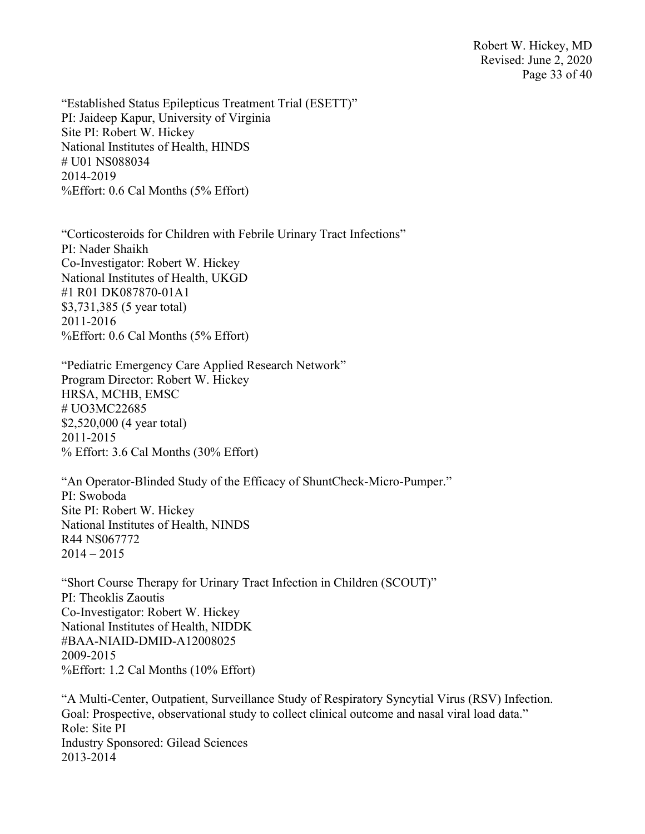Robert W. Hickey, MD Revised: June 2, 2020 Page 33 of 40

"Established Status Epilepticus Treatment Trial (ESETT)" PI: Jaideep Kapur, University of Virginia Site PI: Robert W. Hickey National Institutes of Health, HINDS # U01 NS088034 2014-2019 %Effort: 0.6 Cal Months (5% Effort)

"Corticosteroids for Children with Febrile Urinary Tract Infections" PI: Nader Shaikh Co-Investigator: Robert W. Hickey National Institutes of Health, UKGD #1 R01 DK087870-01A1 \$3,731,385 (5 year total) 2011-2016 %Effort: 0.6 Cal Months (5% Effort)

"Pediatric Emergency Care Applied Research Network" Program Director: Robert W. Hickey HRSA, MCHB, EMSC # UO3MC22685 \$2,520,000 (4 year total) 2011-2015 % Effort: 3.6 Cal Months (30% Effort)

"An Operator-Blinded Study of the Efficacy of ShuntCheck-Micro-Pumper." PI: Swoboda Site PI: Robert W. Hickey National Institutes of Health, NINDS R44 NS067772  $2014 - 2015$ 

"Short Course Therapy for Urinary Tract Infection in Children (SCOUT)" PI: Theoklis Zaoutis Co-Investigator: Robert W. Hickey National Institutes of Health, NIDDK #BAA-NIAID-DMID-A12008025 2009-2015 %Effort: 1.2 Cal Months (10% Effort)

"A Multi-Center, Outpatient, Surveillance Study of Respiratory Syncytial Virus (RSV) Infection. Goal: Prospective, observational study to collect clinical outcome and nasal viral load data." Role: Site PI Industry Sponsored: Gilead Sciences 2013-2014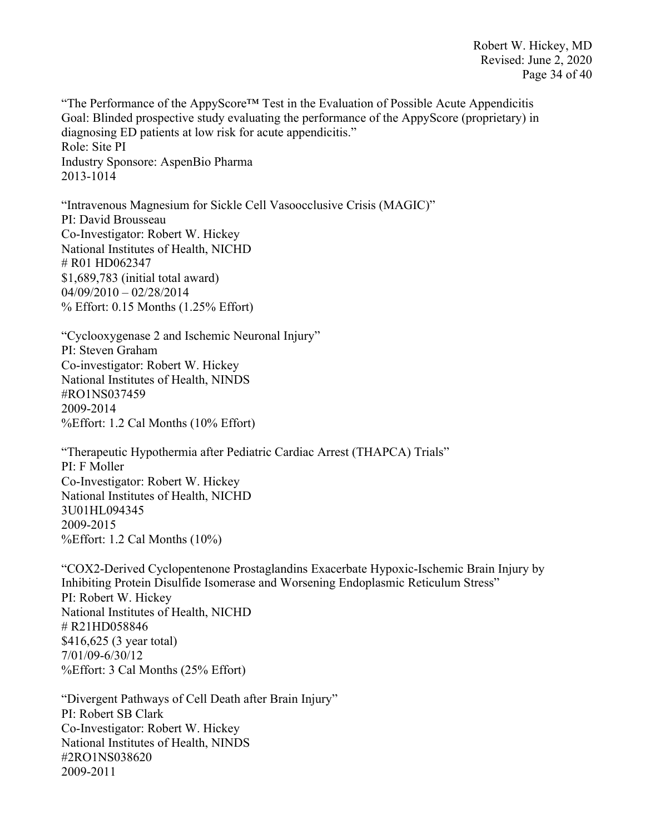Robert W. Hickey, MD Revised: June 2, 2020 Page 34 of 40

"The Performance of the AppyScore™ Test in the Evaluation of Possible Acute Appendicitis Goal: Blinded prospective study evaluating the performance of the AppyScore (proprietary) in diagnosing ED patients at low risk for acute appendicitis." Role: Site PI Industry Sponsore: AspenBio Pharma 2013-1014

"Intravenous Magnesium for Sickle Cell Vasoocclusive Crisis (MAGIC)" PI: David Brousseau Co-Investigator: Robert W. Hickey National Institutes of Health, NICHD # R01 HD062347 \$1,689,783 (initial total award)  $04/09/2010 - 02/28/2014$ % Effort: 0.15 Months (1.25% Effort)

"Cyclooxygenase 2 and Ischemic Neuronal Injury" PI: Steven Graham Co-investigator: Robert W. Hickey National Institutes of Health, NINDS #RO1NS037459 2009-2014 %Effort: 1.2 Cal Months (10% Effort)

"Therapeutic Hypothermia after Pediatric Cardiac Arrest (THAPCA) Trials" PI: F Moller Co-Investigator: Robert W. Hickey National Institutes of Health, NICHD 3U01HL094345 2009-2015 %Effort: 1.2 Cal Months (10%)

"COX2-Derived Cyclopentenone Prostaglandins Exacerbate Hypoxic-Ischemic Brain Injury by Inhibiting Protein Disulfide Isomerase and Worsening Endoplasmic Reticulum Stress" PI: Robert W. Hickey National Institutes of Health, NICHD # R21HD058846 \$416,625 (3 year total) 7/01/09-6/30/12 %Effort: 3 Cal Months (25% Effort)

"Divergent Pathways of Cell Death after Brain Injury" PI: Robert SB Clark Co-Investigator: Robert W. Hickey National Institutes of Health, NINDS #2RO1NS038620 2009-2011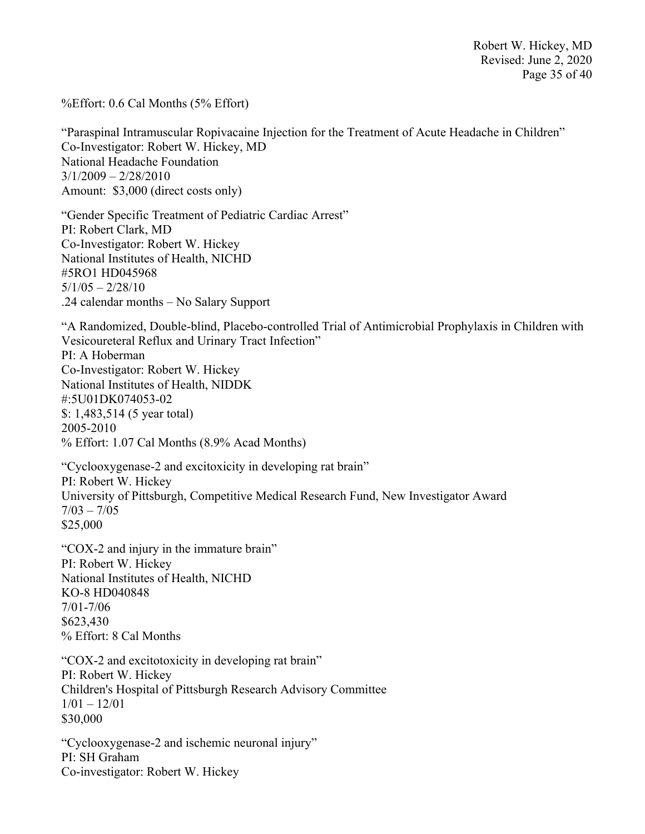%Effort: 0.6 Cal Months (5% Effort)

"Paraspinal Intramuscular Ropivacaine Injection for the Treatment of Acute Headache in Children" Co-Investigator: Robert W. Hickey, MD National Headache Foundation  $3/1/2009 - 2/28/2010$ Amount: \$3,000 (direct costs only)

"Gender Specific Treatment of Pediatric Cardiac Arrest" PI: Robert Clark, MD Co-Investigator: Robert W. Hickey National Institutes of Health, NICHD #5RO1 HD045968  $5/1/05 - 2/28/10$ .24 calendar months – No Salary Support

"A Randomized, Double-blind, Placebo-controlled Trial of Antimicrobial Prophylaxis in Children with Vesicoureteral Reflux and Urinary Tract Infection"

PI: A Hoberman Co-Investigator: Robert W. Hickey National Institutes of Health, NIDDK #:5U01DK074053-02 \$: 1,483,514 (5 year total) 2005-2010 % Effort: 1.07 Cal Months (8.9% Acad Months)

"Cyclooxygenase-2 and excitoxicity in developing rat brain" PI: Robert W. Hickey University of Pittsburgh, Competitive Medical Research Fund, New Investigator Award  $7/03 - 7/05$ \$25,000

"COX-2 and injury in the immature brain" PI: Robert W. Hickey National Institutes of Health, NICHD KO-8 HD040848 7/01-7/06 \$623,430 % Effort: 8 Cal Months

"COX-2 and excitotoxicity in developing rat brain" PI: Robert W. Hickey Children's Hospital of Pittsburgh Research Advisory Committee  $1/01 - 12/01$ \$30,000

"Cyclooxygenase-2 and ischemic neuronal injury" PI: SH Graham Co-investigator: Robert W. Hickey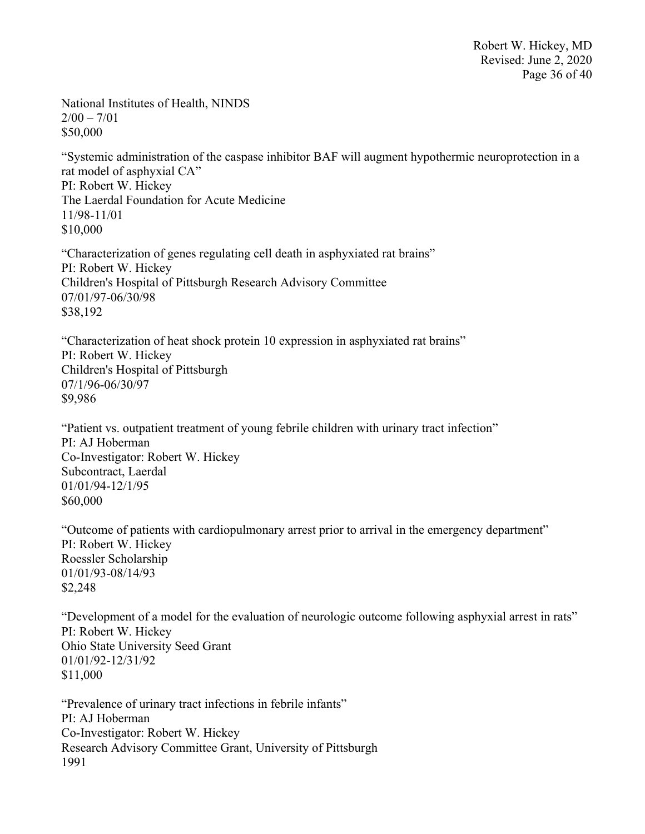Robert W. Hickey, MD Revised: June 2, 2020 Page 36 of 40

National Institutes of Health, NINDS  $2/00 - 7/01$ \$50,000

"Systemic administration of the caspase inhibitor BAF will augment hypothermic neuroprotection in a rat model of asphyxial CA" PI: Robert W. Hickey The Laerdal Foundation for Acute Medicine 11/98-11/01 \$10,000

"Characterization of genes regulating cell death in asphyxiated rat brains" PI: Robert W. Hickey Children's Hospital of Pittsburgh Research Advisory Committee 07/01/97-06/30/98 \$38,192

"Characterization of heat shock protein 10 expression in asphyxiated rat brains" PI: Robert W. Hickey Children's Hospital of Pittsburgh 07/1/96-06/30/97 \$9,986

"Patient vs. outpatient treatment of young febrile children with urinary tract infection" PI: AJ Hoberman Co-Investigator: Robert W. Hickey Subcontract, Laerdal 01/01/94-12/1/95 \$60,000

"Outcome of patients with cardiopulmonary arrest prior to arrival in the emergency department" PI: Robert W. Hickey Roessler Scholarship 01/01/93-08/14/93 \$2,248

"Development of a model for the evaluation of neurologic outcome following asphyxial arrest in rats" PI: Robert W. Hickey Ohio State University Seed Grant 01/01/92-12/31/92 \$11,000

"Prevalence of urinary tract infections in febrile infants" PI: AJ Hoberman Co-Investigator: Robert W. Hickey Research Advisory Committee Grant, University of Pittsburgh 1991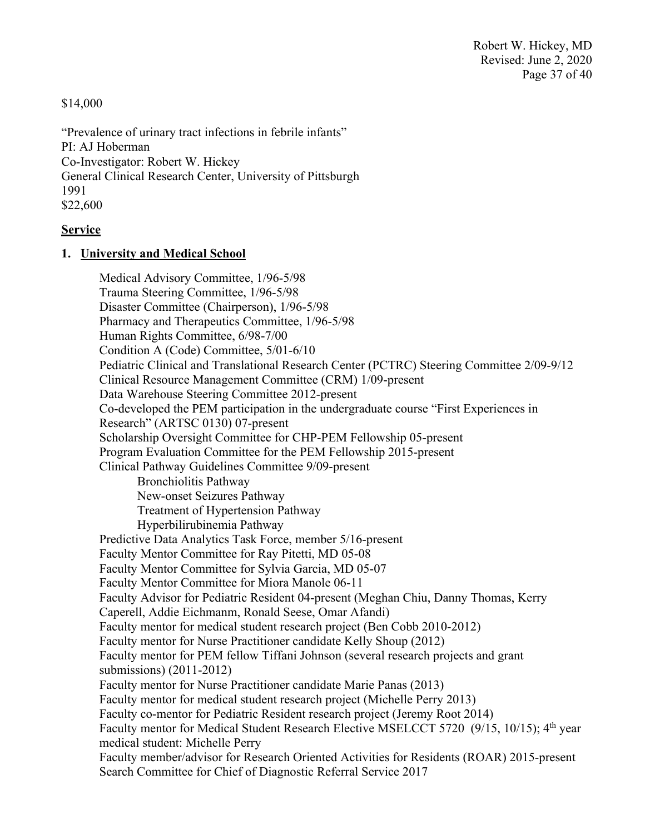\$14,000

"Prevalence of urinary tract infections in febrile infants" PI: AJ Hoberman Co-Investigator: Robert W. Hickey General Clinical Research Center, University of Pittsburgh 1991 \$22,600

#### **Service**

#### **1. University and Medical School**

 Medical Advisory Committee, 1/96-5/98 Trauma Steering Committee, 1/96-5/98 Disaster Committee (Chairperson), 1/96-5/98 Pharmacy and Therapeutics Committee, 1/96-5/98 Human Rights Committee, 6/98-7/00 Condition A (Code) Committee, 5/01-6/10 Pediatric Clinical and Translational Research Center (PCTRC) Steering Committee 2/09-9/12 Clinical Resource Management Committee (CRM) 1/09-present Data Warehouse Steering Committee 2012-present Co-developed the PEM participation in the undergraduate course "First Experiences in Research" (ARTSC 0130) 07-present Scholarship Oversight Committee for CHP-PEM Fellowship 05-present Program Evaluation Committee for the PEM Fellowship 2015-present Clinical Pathway Guidelines Committee 9/09-present Bronchiolitis Pathway New-onset Seizures Pathway Treatment of Hypertension Pathway Hyperbilirubinemia Pathway Predictive Data Analytics Task Force, member 5/16-present Faculty Mentor Committee for Ray Pitetti, MD 05-08 Faculty Mentor Committee for Sylvia Garcia, MD 05-07 Faculty Mentor Committee for Miora Manole 06-11 Faculty Advisor for Pediatric Resident 04-present (Meghan Chiu, Danny Thomas, Kerry Caperell, Addie Eichmanm, Ronald Seese, Omar Afandi) Faculty mentor for medical student research project (Ben Cobb 2010-2012) Faculty mentor for Nurse Practitioner candidate Kelly Shoup (2012) Faculty mentor for PEM fellow Tiffani Johnson (several research projects and grant submissions) (2011-2012) Faculty mentor for Nurse Practitioner candidate Marie Panas (2013) Faculty mentor for medical student research project (Michelle Perry 2013) Faculty co-mentor for Pediatric Resident research project (Jeremy Root 2014) Faculty mentor for Medical Student Research Elective MSELCCT 5720 (9/15, 10/15); 4<sup>th</sup> year medical student: Michelle Perry Faculty member/advisor for Research Oriented Activities for Residents (ROAR) 2015-present Search Committee for Chief of Diagnostic Referral Service 2017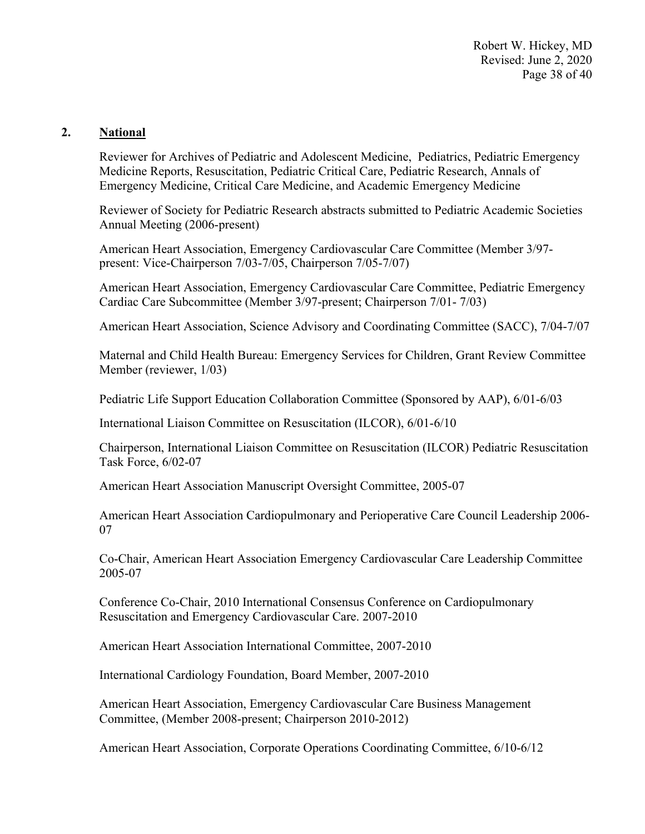Robert W. Hickey, MD Revised: June 2, 2020 Page 38 of 40

#### **2. National**

Reviewer for Archives of Pediatric and Adolescent Medicine, Pediatrics, Pediatric Emergency Medicine Reports, Resuscitation, Pediatric Critical Care, Pediatric Research, Annals of Emergency Medicine, Critical Care Medicine, and Academic Emergency Medicine

Reviewer of Society for Pediatric Research abstracts submitted to Pediatric Academic Societies Annual Meeting (2006-present)

American Heart Association, Emergency Cardiovascular Care Committee (Member 3/97 present: Vice-Chairperson 7/03-7/05, Chairperson 7/05-7/07)

American Heart Association, Emergency Cardiovascular Care Committee, Pediatric Emergency Cardiac Care Subcommittee (Member 3/97-present; Chairperson 7/01- 7/03)

American Heart Association, Science Advisory and Coordinating Committee (SACC), 7/04-7/07

Maternal and Child Health Bureau: Emergency Services for Children, Grant Review Committee Member (reviewer, 1/03)

Pediatric Life Support Education Collaboration Committee (Sponsored by AAP), 6/01-6/03

International Liaison Committee on Resuscitation (ILCOR), 6/01-6/10

Chairperson, International Liaison Committee on Resuscitation (ILCOR) Pediatric Resuscitation Task Force, 6/02-07

American Heart Association Manuscript Oversight Committee, 2005-07

American Heart Association Cardiopulmonary and Perioperative Care Council Leadership 2006- 07

Co-Chair, American Heart Association Emergency Cardiovascular Care Leadership Committee 2005-07

Conference Co-Chair, 2010 International Consensus Conference on Cardiopulmonary Resuscitation and Emergency Cardiovascular Care. 2007-2010

American Heart Association International Committee, 2007-2010

International Cardiology Foundation, Board Member, 2007-2010

American Heart Association, Emergency Cardiovascular Care Business Management Committee, (Member 2008-present; Chairperson 2010-2012)

American Heart Association, Corporate Operations Coordinating Committee, 6/10-6/12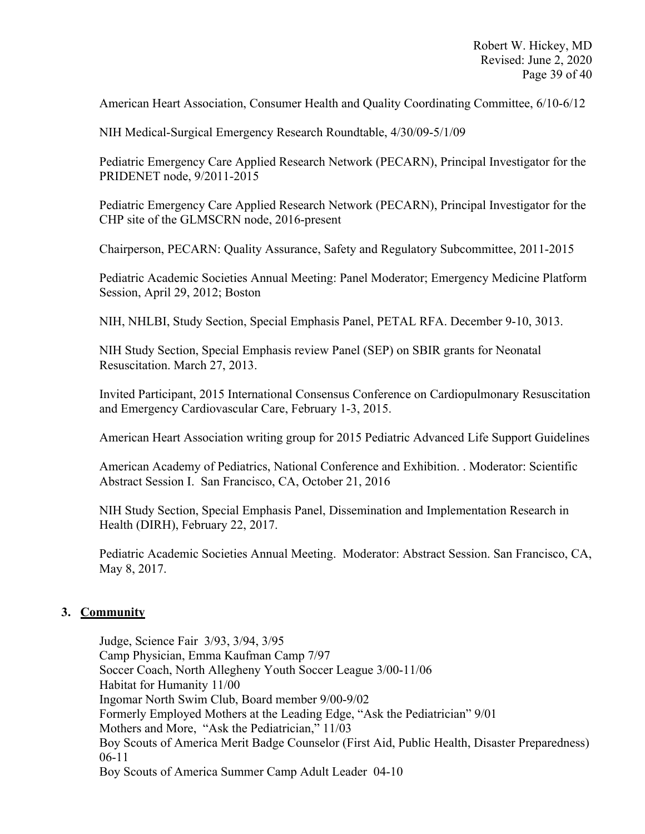American Heart Association, Consumer Health and Quality Coordinating Committee, 6/10-6/12

NIH Medical-Surgical Emergency Research Roundtable, 4/30/09-5/1/09

Pediatric Emergency Care Applied Research Network (PECARN), Principal Investigator for the PRIDENET node, 9/2011-2015

Pediatric Emergency Care Applied Research Network (PECARN), Principal Investigator for the CHP site of the GLMSCRN node, 2016-present

Chairperson, PECARN: Quality Assurance, Safety and Regulatory Subcommittee, 2011-2015

Pediatric Academic Societies Annual Meeting: Panel Moderator; Emergency Medicine Platform Session, April 29, 2012; Boston

NIH, NHLBI, Study Section, Special Emphasis Panel, PETAL RFA. December 9-10, 3013.

NIH Study Section, Special Emphasis review Panel (SEP) on SBIR grants for Neonatal Resuscitation. March 27, 2013.

Invited Participant, 2015 International Consensus Conference on Cardiopulmonary Resuscitation and Emergency Cardiovascular Care, February 1-3, 2015.

American Heart Association writing group for 2015 Pediatric Advanced Life Support Guidelines

American Academy of Pediatrics, National Conference and Exhibition. . Moderator: Scientific Abstract Session I. San Francisco, CA, October 21, 2016

NIH Study Section, Special Emphasis Panel, Dissemination and Implementation Research in Health (DIRH), February 22, 2017.

Pediatric Academic Societies Annual Meeting. Moderator: Abstract Session. San Francisco, CA, May 8, 2017.

# **3. Community**

 Judge, Science Fair 3/93, 3/94, 3/95 Camp Physician, Emma Kaufman Camp 7/97 Soccer Coach, North Allegheny Youth Soccer League 3/00-11/06 Habitat for Humanity 11/00 Ingomar North Swim Club, Board member 9/00-9/02 Formerly Employed Mothers at the Leading Edge, "Ask the Pediatrician" 9/01 Mothers and More, "Ask the Pediatrician," 11/03 Boy Scouts of America Merit Badge Counselor (First Aid, Public Health, Disaster Preparedness) 06-11 Boy Scouts of America Summer Camp Adult Leader 04-10